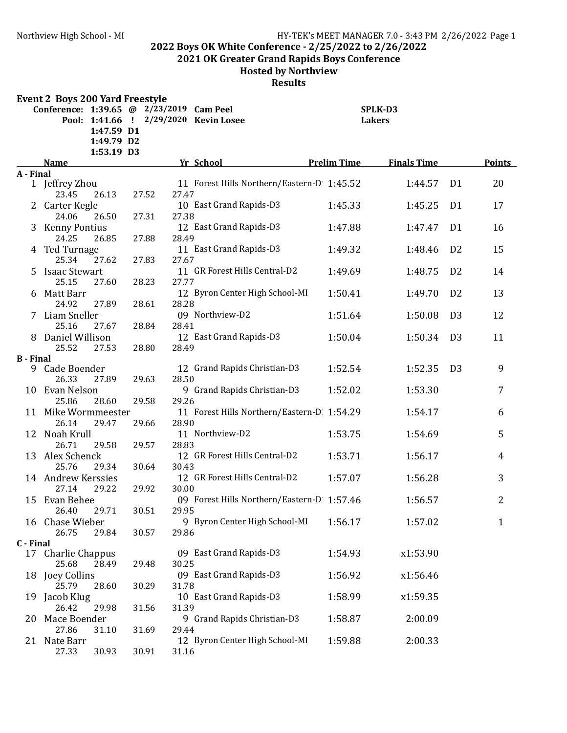2021 OK Greater Grand Rapids Boys Conference

#### Hosted by Northview

|                  | <b>Event 2 Boys 200 Yard Freestyle</b>   |                 |       |       |                                            |                    |                    |                |                |
|------------------|------------------------------------------|-----------------|-------|-------|--------------------------------------------|--------------------|--------------------|----------------|----------------|
|                  | Conference: 1:39.65 @ 2/23/2019 Cam Peel |                 |       |       |                                            |                    | <b>SPLK-D3</b>     |                |                |
|                  |                                          | Pool: 1:41.66 ! |       |       | 2/29/2020 Kevin Losee                      |                    | <b>Lakers</b>      |                |                |
|                  |                                          | 1:47.59 D1      |       |       |                                            |                    |                    |                |                |
|                  |                                          | 1:49.79 D2      |       |       |                                            |                    |                    |                |                |
|                  |                                          | 1:53.19 D3      |       |       |                                            |                    |                    |                |                |
|                  | <b>Name</b>                              |                 |       |       | Yr School                                  | <b>Prelim Time</b> | <b>Finals Time</b> |                | <b>Points</b>  |
| A - Final        |                                          |                 |       |       | 11 Forest Hills Northern/Eastern-D 1:45.52 |                    |                    |                | 20             |
|                  | 1 Jeffrey Zhou<br>23.45                  | 26.13           | 27.52 | 27.47 |                                            |                    | 1:44.57            | D <sub>1</sub> |                |
|                  | 2 Carter Kegle                           |                 |       |       | 10 East Grand Rapids-D3                    | 1:45.33            | 1:45.25            | D <sub>1</sub> | 17             |
|                  | 24.06                                    | 26.50           | 27.31 | 27.38 |                                            |                    |                    |                |                |
|                  |                                          |                 |       |       | 12 East Grand Rapids-D3                    | 1:47.88            | 1:47.47            | D <sub>1</sub> | 16             |
|                  | 3 Kenny Pontius<br>24.25                 | 26.85           | 27.88 | 28.49 |                                            |                    |                    |                |                |
|                  |                                          |                 |       |       | 11 East Grand Rapids-D3                    | 1:49.32            | 1:48.46            | D <sub>2</sub> | 15             |
|                  | 4 Ted Turnage<br>25.34                   | 27.62           | 27.83 | 27.67 |                                            |                    |                    |                |                |
|                  | <b>Isaac Stewart</b>                     |                 |       |       | 11 GR Forest Hills Central-D2              | 1:49.69            | 1:48.75            | D <sub>2</sub> | 14             |
| 5                | 25.15                                    | 27.60           | 28.23 | 27.77 |                                            |                    |                    |                |                |
|                  | 6 Matt Barr                              |                 |       |       | 12 Byron Center High School-MI             | 1:50.41            | 1:49.70            | D <sub>2</sub> | 13             |
|                  | 24.92                                    | 27.89           | 28.61 | 28.28 |                                            |                    |                    |                |                |
|                  | 7 Liam Sneller                           |                 |       |       | 09 Northview-D2                            | 1:51.64            | 1:50.08            | D <sub>3</sub> | 12             |
|                  | 25.16                                    | 27.67           | 28.84 | 28.41 |                                            |                    |                    |                |                |
|                  | 8 Daniel Willison                        |                 |       |       | 12 East Grand Rapids-D3                    | 1:50.04            | 1:50.34            | D <sub>3</sub> | 11             |
|                  | 25.52                                    | 27.53           | 28.80 | 28.49 |                                            |                    |                    |                |                |
| <b>B</b> - Final |                                          |                 |       |       |                                            |                    |                    |                |                |
| 9                | Cade Boender                             |                 |       |       | 12 Grand Rapids Christian-D3               | 1:52.54            | 1:52.35            | D <sub>3</sub> | 9              |
|                  | 26.33                                    | 27.89           | 29.63 | 28.50 |                                            |                    |                    |                |                |
|                  | 10 Evan Nelson                           |                 |       |       | 9 Grand Rapids Christian-D3                | 1:52.02            | 1:53.30            |                | $\overline{7}$ |
|                  | 25.86                                    | 28.60           | 29.58 | 29.26 |                                            |                    |                    |                |                |
| 11               | Mike Wormmeester                         |                 |       |       | 11 Forest Hills Northern/Eastern-D 1:54.29 |                    | 1:54.17            |                | 6              |
|                  | 26.14                                    | 29.47           | 29.66 | 28.90 |                                            |                    |                    |                |                |
|                  | 12 Noah Krull                            |                 |       |       | 11 Northview-D2                            | 1:53.75            | 1:54.69            |                | 5              |
|                  | 26.71                                    | 29.58           | 29.57 | 28.83 |                                            |                    |                    |                |                |
|                  | 13 Alex Schenck                          |                 |       |       | 12 GR Forest Hills Central-D2              | 1:53.71            | 1:56.17            |                | $\overline{4}$ |
|                  | 25.76                                    | 29.34           | 30.64 | 30.43 |                                            |                    |                    |                |                |
|                  | 14 Andrew Kerssies                       |                 |       |       | 12 GR Forest Hills Central-D2              | 1:57.07            | 1:56.28            |                | 3              |
|                  | 27.14                                    | 29.22           | 29.92 | 30.00 |                                            |                    |                    |                |                |
| 15               | Evan Behee                               |                 |       |       | 09 Forest Hills Northern/Eastern-D 1:57.46 |                    | 1:56.57            |                | 2              |
|                  | 26.40                                    | 29.71           | 30.51 | 29.95 |                                            |                    |                    |                |                |
| 16               | Chase Wieber                             |                 |       |       | 9 Byron Center High School-MI              | 1:56.17            | 1:57.02            |                | $\mathbf{1}$   |
|                  | 26.75                                    | 29.84           | 30.57 | 29.86 |                                            |                    |                    |                |                |
| C - Final        |                                          |                 |       |       |                                            |                    |                    |                |                |
| 17               | <b>Charlie Chappus</b>                   |                 |       |       | 09 East Grand Rapids-D3                    | 1:54.93            | x1:53.90           |                |                |
|                  | 25.68                                    | 28.49           | 29.48 | 30.25 |                                            |                    |                    |                |                |
| 18               | Joey Collins                             |                 |       |       | 09 East Grand Rapids-D3                    | 1:56.92            | x1:56.46           |                |                |
|                  | 25.79                                    | 28.60           | 30.29 | 31.78 |                                            |                    |                    |                |                |
| 19.              | Jacob Klug                               |                 |       |       | 10 East Grand Rapids-D3                    | 1:58.99            | x1:59.35           |                |                |
|                  | 26.42                                    | 29.98           | 31.56 | 31.39 |                                            |                    |                    |                |                |
| 20               | Mace Boender                             |                 |       |       | 9 Grand Rapids Christian-D3                | 1:58.87            | 2:00.09            |                |                |
|                  | 27.86                                    | 31.10           | 31.69 | 29.44 |                                            |                    |                    |                |                |
| 21               | Nate Barr                                |                 |       |       | 12 Byron Center High School-MI             | 1:59.88            | 2:00.33            |                |                |
|                  | 27.33                                    | 30.93           | 30.91 | 31.16 |                                            |                    |                    |                |                |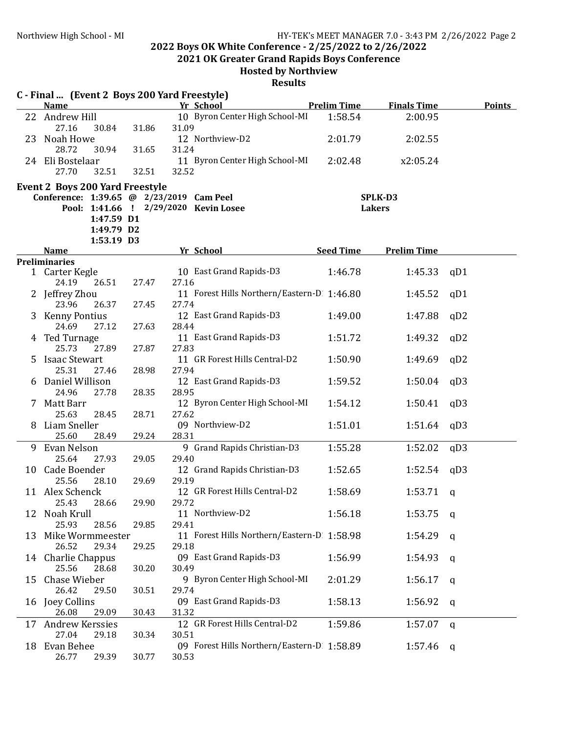2021 OK Greater Grand Rapids Boys Conference

Hosted by Northview

|    | C - Final  (Event 2 Boys 200 Yard Freestyle) |            |       |       |                                            |                    |                    |     |        |
|----|----------------------------------------------|------------|-------|-------|--------------------------------------------|--------------------|--------------------|-----|--------|
|    | <b>Name</b>                                  |            |       |       | Yr School                                  | <b>Prelim Time</b> | <b>Finals Time</b> |     | Points |
|    | 22 Andrew Hill                               |            |       |       | 10 Byron Center High School-MI             | 1:58.54            | 2:00.95            |     |        |
|    | 27.16                                        | 30.84      | 31.86 | 31.09 |                                            |                    |                    |     |        |
| 23 | Noah Howe                                    |            |       |       | 12 Northview-D2                            | 2:01.79            | 2:02.55            |     |        |
|    | 28.72                                        | 30.94      | 31.65 | 31.24 |                                            |                    |                    |     |        |
|    | 24 Eli Bostelaar                             |            |       |       | 11 Byron Center High School-MI             | 2:02.48            | x2:05.24           |     |        |
|    | 27.70                                        | 32.51      | 32.51 | 32.52 |                                            |                    |                    |     |        |
|    | <b>Event 2 Boys 200 Yard Freestyle</b>       |            |       |       |                                            |                    |                    |     |        |
|    | Conference: 1:39.65 @ 2/23/2019 Cam Peel     |            |       |       |                                            |                    | SPLK-D3            |     |        |
|    |                                              |            |       |       | Pool: 1:41.66 ! 2/29/2020 Kevin Losee      |                    | <b>Lakers</b>      |     |        |
|    |                                              | 1:47.59 D1 |       |       |                                            |                    |                    |     |        |
|    |                                              | 1:49.79 D2 |       |       |                                            |                    |                    |     |        |
|    |                                              | 1:53.19 D3 |       |       |                                            |                    |                    |     |        |
|    | <b>Name</b>                                  |            |       |       | Yr School                                  | <b>Seed Time</b>   | <b>Prelim Time</b> |     |        |
|    | <b>Preliminaries</b>                         |            |       |       |                                            |                    |                    |     |        |
|    | 1 Carter Kegle                               |            |       |       | 10 East Grand Rapids-D3                    | 1:46.78            | 1:45.33            | qD1 |        |
|    | 24.19                                        | 26.51      | 27.47 | 27.16 |                                            |                    |                    |     |        |
|    | 2 Jeffrey Zhou                               |            |       |       | 11 Forest Hills Northern/Eastern-D 1:46.80 |                    | 1:45.52            | qD1 |        |
|    | 23.96                                        | 26.37      | 27.45 | 27.74 |                                            |                    |                    |     |        |
| 3  | <b>Kenny Pontius</b>                         |            |       |       | 12 East Grand Rapids-D3                    | 1:49.00            | 1:47.88            | qD2 |        |
|    | 24.69                                        | 27.12      | 27.63 | 28.44 |                                            |                    |                    |     |        |
| 4  | <b>Ted Turnage</b>                           |            |       |       | 11 East Grand Rapids-D3                    | 1:51.72            | 1:49.32            | qD2 |        |
|    | 25.73                                        | 27.89      | 27.87 | 27.83 |                                            |                    |                    |     |        |
| 5  | <b>Isaac Stewart</b>                         |            |       |       | 11 GR Forest Hills Central-D2              | 1:50.90            | 1:49.69            | qD2 |        |
|    | 25.31                                        | 27.46      | 28.98 | 27.94 |                                            |                    |                    |     |        |
|    | Daniel Willison                              |            |       |       | 12 East Grand Rapids-D3                    | 1:59.52            | 1:50.04            | qD3 |        |
|    | 24.96                                        | 27.78      | 28.35 | 28.95 |                                            |                    |                    |     |        |
| 7  | Matt Barr                                    |            |       |       | 12 Byron Center High School-MI             | 1:54.12            | 1:50.41            | qD3 |        |
|    | 25.63                                        | 28.45      | 28.71 | 27.62 |                                            |                    |                    |     |        |
| 8  | Liam Sneller                                 |            |       |       | 09 Northview-D2                            | 1:51.01            | 1:51.64            | qD3 |        |
|    | 25.60                                        | 28.49      | 29.24 | 28.31 |                                            |                    |                    |     |        |
| 9  | Evan Nelson                                  |            |       |       | 9 Grand Rapids Christian-D3                | 1:55.28            | 1:52.02            | qD3 |        |
|    | 25.64                                        | 27.93      | 29.05 | 29.40 |                                            |                    |                    |     |        |
|    | 10 Cade Boender                              |            |       |       | 12 Grand Rapids Christian-D3               | 1:52.65            | 1:52.54            | qD3 |        |
|    | 25.56                                        | 28.10      | 29.69 | 29.19 |                                            |                    |                    |     |        |
|    | 11 Alex Schenck                              |            |       |       | 12 GR Forest Hills Central-D2              | 1:58.69            | 1:53.71            | q   |        |
|    | 25.43                                        | 28.66      | 29.90 | 29.72 |                                            |                    |                    |     |        |
| 12 | Noah Krull                                   |            |       |       | 11 Northview-D2                            | 1:56.18            | 1:53.75            | q   |        |
|    | 25.93                                        | 28.56      | 29.85 | 29.41 | 11 Forest Hills Northern/Eastern-D 1:58.98 |                    |                    |     |        |
| 13 | Mike Wormmeester                             |            |       |       |                                            |                    | 1:54.29            | q   |        |
|    | 26.52                                        | 29.34      | 29.25 | 29.18 | 09 East Grand Rapids-D3                    |                    |                    |     |        |
|    | 14 Charlie Chappus                           |            |       |       |                                            | 1:56.99            | 1:54.93            | q   |        |
|    | 25.56                                        | 28.68      | 30.20 | 30.49 | 9 Byron Center High School-MI              |                    |                    |     |        |
| 15 | Chase Wieber<br>26.42                        |            |       | 29.74 |                                            | 2:01.29            | 1:56.17            | q   |        |
|    |                                              | 29.50      | 30.51 |       | 09 East Grand Rapids-D3                    | 1:58.13            |                    |     |        |
| 16 | Joey Collins<br>26.08                        | 29.09      |       |       |                                            |                    | 1:56.92            | q   |        |
|    |                                              |            | 30.43 | 31.32 |                                            |                    |                    |     |        |
|    | 17 Andrew Kerssies                           |            |       |       | 12 GR Forest Hills Central-D2              | 1:59.86            | 1:57.07            | q   |        |
|    | 27.04                                        | 29.18      | 30.34 | 30.51 | 09 Forest Hills Northern/Eastern-D 1:58.89 |                    |                    |     |        |
| 18 | Evan Behee                                   |            |       |       |                                            |                    | 1:57.46            | q   |        |
|    | 26.77                                        | 29.39      | 30.77 | 30.53 |                                            |                    |                    |     |        |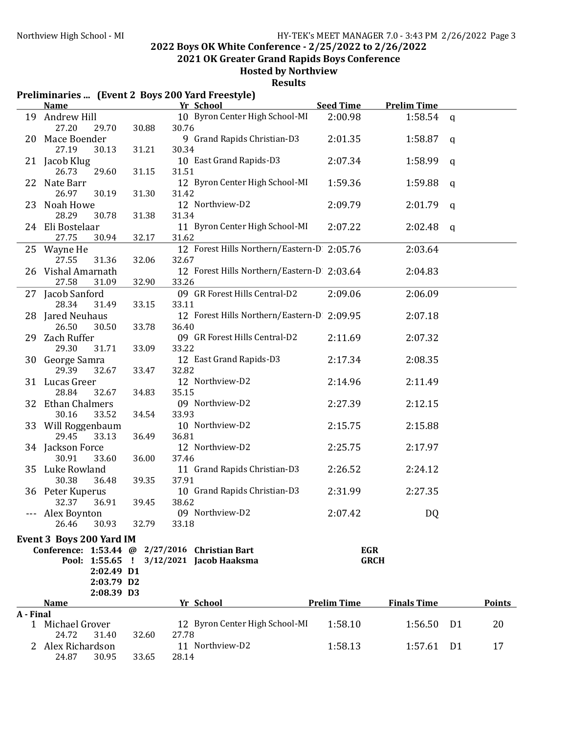2021 OK Greater Grand Rapids Boys Conference

#### Hosted by Northview

|           |                                      |       | Preliminaries  (Event 2 Boys 200 Yard Freestyle)                          |                           |                    |                |               |
|-----------|--------------------------------------|-------|---------------------------------------------------------------------------|---------------------------|--------------------|----------------|---------------|
|           | <b>Name</b>                          |       | Yr School                                                                 | <b>Seed Time</b>          | <b>Prelim Time</b> |                |               |
|           | 19 Andrew Hill<br>27.20<br>29.70     | 30.88 | 10 Byron Center High School-MI<br>30.76                                   | 2:00.98                   | 1:58.54            | $\mathbf{q}$   |               |
| 20        | Mace Boender<br>27.19<br>30.13       | 31.21 | 9 Grand Rapids Christian-D3<br>30.34                                      | 2:01.35                   | 1:58.87            | q              |               |
|           | 21 Jacob Klug                        |       | 10 East Grand Rapids-D3                                                   | 2:07.34                   | 1:58.99            | $\mathbf q$    |               |
|           | 26.73<br>29.60<br>22 Nate Barr       | 31.15 | 31.51<br>12 Byron Center High School-MI                                   | 1:59.36                   | 1:59.88            | $\mathbf q$    |               |
|           | 26.97<br>30.19<br>23 Noah Howe       | 31.30 | 31.42<br>12 Northview-D2                                                  | 2:09.79                   | 2:01.79            | $\mathbf q$    |               |
|           | 28.29<br>30.78                       | 31.38 | 31.34                                                                     |                           |                    |                |               |
|           | 24 Eli Bostelaar<br>27.75<br>30.94   | 32.17 | 11 Byron Center High School-MI<br>31.62                                   | 2:07.22                   | 2:02.48            | q              |               |
|           | 25 Wayne He<br>27.55<br>31.36        | 32.06 | 12 Forest Hills Northern/Eastern-D 2:05.76<br>32.67                       |                           | 2:03.64            |                |               |
|           | 26 Vishal Amarnath<br>27.58<br>31.09 | 32.90 | 12 Forest Hills Northern/Eastern-D 2:03.64<br>33.26                       |                           | 2:04.83            |                |               |
|           | 27 Jacob Sanford                     |       | 09 GR Forest Hills Central-D2                                             | 2:09.06                   | 2:06.09            |                |               |
|           | 28.34<br>31.49                       | 33.15 | 33.11                                                                     |                           |                    |                |               |
|           | 28 Jared Neuhaus<br>26.50<br>30.50   | 33.78 | 12 Forest Hills Northern/Eastern-D 2:09.95<br>36.40                       |                           | 2:07.18            |                |               |
|           | 29 Zach Ruffer<br>29.30<br>31.71     | 33.09 | 09 GR Forest Hills Central-D2<br>33.22                                    | 2:11.69                   | 2:07.32            |                |               |
|           | 30 George Samra                      |       | 12 East Grand Rapids-D3                                                   | 2:17.34                   | 2:08.35            |                |               |
|           | 29.39<br>32.67<br>31 Lucas Greer     | 33.47 | 32.82<br>12 Northview-D2                                                  | 2:14.96                   | 2:11.49            |                |               |
|           | 28.84<br>32.67<br>32 Ethan Chalmers  | 34.83 | 35.15<br>09 Northview-D2                                                  | 2:27.39                   | 2:12.15            |                |               |
|           | 30.16<br>33.52                       | 34.54 | 33.93                                                                     |                           |                    |                |               |
|           | 33 Will Roggenbaum<br>29.45<br>33.13 | 36.49 | 10 Northview-D2<br>36.81                                                  | 2:15.75                   | 2:15.88            |                |               |
|           | 34 Jackson Force<br>30.91<br>33.60   | 36.00 | 12 Northview-D2<br>37.46                                                  | 2:25.75                   | 2:17.97            |                |               |
|           | 35 Luke Rowland                      |       | 11 Grand Rapids Christian-D3                                              | 2:26.52                   | 2:24.12            |                |               |
|           | 30.38<br>36.48<br>36 Peter Kuperus   | 39.35 | 37.91<br>10 Grand Rapids Christian-D3                                     | 2:31.99                   | 2:27.35            |                |               |
|           | 32.37<br>36.91                       | 39.45 | 38.62<br>09 Northview-D2                                                  | 2:07.42                   | DQ                 |                |               |
|           | Alex Boynton<br>26.46<br>30.93       | 32.79 | 33.18                                                                     |                           |                    |                |               |
|           | <b>Event 3 Boys 200 Yard IM</b>      |       |                                                                           |                           |                    |                |               |
|           | Pool: 1:55.65 !                      |       | Conference: 1:53.44 @ 2/27/2016 Christian Bart<br>3/12/2021 Jacob Haaksma | <b>EGR</b><br><b>GRCH</b> |                    |                |               |
|           | 2:02.49 D1                           |       |                                                                           |                           |                    |                |               |
|           | 2:03.79 D2<br>2:08.39 D3             |       |                                                                           |                           |                    |                |               |
|           | <b>Name</b>                          |       | Yr School                                                                 | <b>Prelim Time</b>        | <b>Finals Time</b> |                | <b>Points</b> |
| A - Final |                                      |       |                                                                           |                           |                    |                |               |
|           | 1 Michael Grover<br>24.72<br>31.40   | 32.60 | 12 Byron Center High School-MI<br>27.78                                   | 1:58.10                   | 1:56.50            | D <sub>1</sub> | 20            |
|           | Alex Richardson<br>24.87<br>30.95    | 33.65 | 11 Northview-D2<br>28.14                                                  | 1:58.13                   | 1:57.61            | D <sub>1</sub> | 17            |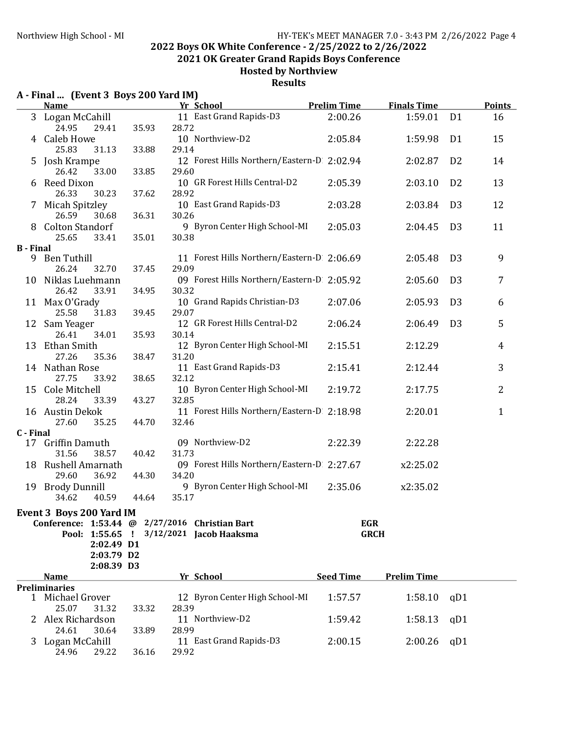2021 OK Greater Grand Rapids Boys Conference

#### Hosted by Northview

|                       | A - Final  (Event 3 Boys 200 Yard IM)  |       |                                                     |                    |                    |                |               |
|-----------------------|----------------------------------------|-------|-----------------------------------------------------|--------------------|--------------------|----------------|---------------|
|                       | <b>Name</b>                            |       | Yr School                                           | <b>Prelim Time</b> | <b>Finals Time</b> |                | <b>Points</b> |
|                       | 3 Logan McCahill<br>24.95<br>29.41     | 35.93 | 11 East Grand Rapids-D3<br>28.72                    | 2:00.26            | 1:59.01            | D <sub>1</sub> | 16            |
|                       | 4 Caleb Howe<br>25.83<br>31.13         | 33.88 | 10 Northview-D2<br>29.14                            | 2:05.84            | 1:59.98            | D <sub>1</sub> | 15            |
|                       | 5 Josh Krampe                          |       | 12 Forest Hills Northern/Eastern-D 2:02.94          |                    | 2:02.87            | D <sub>2</sub> | 14            |
|                       | 26.42<br>33.00<br>6 Reed Dixon         | 33.85 | 29.60<br>10 GR Forest Hills Central-D2              | 2:05.39            | 2:03.10            | D <sub>2</sub> | 13            |
|                       | 26.33<br>30.23<br>7 Micah Spitzley     | 37.62 | 28.92<br>10 East Grand Rapids-D3                    | 2:03.28            | 2:03.84            | D <sub>3</sub> | 12            |
|                       | 26.59<br>30.68<br>8 Colton Standorf    | 36.31 | 30.26<br>9 Byron Center High School-MI              | 2:05.03            | 2:04.45            | D <sub>3</sub> | 11            |
|                       | 25.65<br>33.41                         | 35.01 | 30.38                                               |                    |                    |                |               |
| <b>B</b> - Final<br>9 | <b>Ben Tuthill</b>                     |       | 11 Forest Hills Northern/Eastern-D 2:06.69          |                    |                    | D <sub>3</sub> |               |
|                       | 26.24<br>32.70                         | 37.45 | 29.09                                               |                    | 2:05.48            |                | 9             |
|                       | 10 Niklas Luehmann<br>26.42<br>33.91   | 34.95 | 09 Forest Hills Northern/Eastern-D 2:05.92<br>30.32 |                    | 2:05.60            | D <sub>3</sub> | 7             |
|                       | 11 Max O'Grady<br>25.58<br>31.83       | 39.45 | 10 Grand Rapids Christian-D3<br>29.07               | 2:07.06            | 2:05.93            | D <sub>3</sub> | 6             |
|                       | 12 Sam Yeager<br>26.41<br>34.01        | 35.93 | 12 GR Forest Hills Central-D2<br>30.14              | 2:06.24            | 2:06.49            | D <sub>3</sub> | 5             |
|                       | 13 Ethan Smith<br>27.26<br>35.36       | 38.47 | 12 Byron Center High School-MI<br>31.20             | 2:15.51            | 2:12.29            |                | 4             |
|                       | 14 Nathan Rose<br>27.75<br>33.92       | 38.65 | 11 East Grand Rapids-D3<br>32.12                    | 2:15.41            | 2:12.44            |                | 3             |
|                       | 15 Cole Mitchell<br>28.24<br>33.39     | 43.27 | 10 Byron Center High School-MI<br>32.85             | 2:19.72            | 2:17.75            |                | 2             |
|                       | 16 Austin Dekok<br>27.60<br>35.25      | 44.70 | 11 Forest Hills Northern/Eastern-D 2:18.98<br>32.46 |                    | 2:20.01            |                | $\mathbf{1}$  |
| C - Final             |                                        |       |                                                     |                    |                    |                |               |
|                       | 17 Griffin Damuth                      |       | 09 Northview-D2                                     | 2:22.39            | 2:22.28            |                |               |
|                       | 38.57<br>31.56                         | 40.42 | 31.73                                               |                    |                    |                |               |
|                       | 18 Rushell Amarnath<br>29.60<br>36.92  | 44.30 | 09 Forest Hills Northern/Eastern-D 2:27.67<br>34.20 |                    | x2:25.02           |                |               |
| 19                    | <b>Brody Dunnill</b><br>34.62<br>40.59 | 44.64 | 9 Byron Center High School-MI<br>35.17              | 2:35.06            | x2:35.02           |                |               |
|                       |                                        |       |                                                     |                    |                    |                |               |
|                       | Event 3 Boys 200 Yard IM               |       | Conference: 1:53.44 @ 2/27/2016 Christian Bart      | <b>EGR</b>         |                    |                |               |
|                       | Pool: 1:55.65 !                        |       | 3/12/2021 Jacob Haaksma                             | <b>GRCH</b>        |                    |                |               |
|                       | 2:02.49 D1                             |       |                                                     |                    |                    |                |               |
|                       | 2:03.79 D2                             |       |                                                     |                    |                    |                |               |
|                       | 2:08.39 D3                             |       |                                                     |                    |                    |                |               |
|                       | <b>Name</b>                            |       | Yr School                                           | <b>Seed Time</b>   | <b>Prelim Time</b> |                |               |
|                       | <b>Preliminaries</b>                   |       |                                                     |                    |                    |                |               |
|                       | 1 Michael Grover<br>25.07<br>31.32     | 33.32 | 12 Byron Center High School-MI<br>28.39             | 1:57.57            | 1:58.10            | qD1            |               |
|                       | Alex Richardson<br>24.61<br>30.64      | 33.89 | 11 Northview-D2<br>28.99                            | 1:59.42            | 1:58.13            | qD1            |               |
| 3                     | Logan McCahill<br>24.96<br>29.22       | 36.16 | 11 East Grand Rapids-D3<br>29.92                    | 2:00.15            | 2:00.26            | qD1            |               |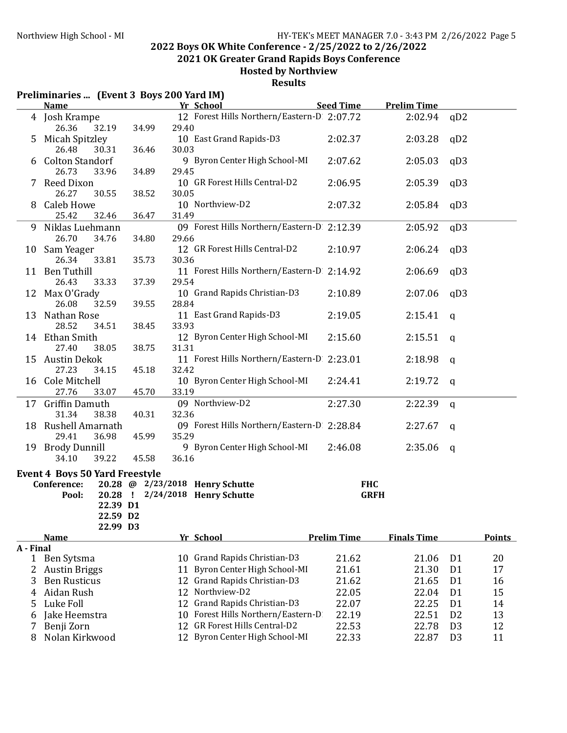2021 OK Greater Grand Rapids Boys Conference

#### Hosted by Northview

| <b>Name</b><br>Yr School<br><b>Seed Time</b><br><b>Prelim Time</b><br>12 Forest Hills Northern/Eastern-D 2:07.72<br>4 Josh Krampe<br>26.36<br>32.19<br>34.99<br>29.40<br>10 East Grand Rapids-D3<br>2:02.37<br>Micah Spitzley<br>5<br>26.48<br>30.03<br>30.31<br>36.46<br>9 Byron Center High School-MI<br><b>Colton Standorf</b><br>2:07.62<br>6<br>26.73<br>29.45<br>33.96<br>34.89<br>10 GR Forest Hills Central-D2<br>Reed Dixon<br>2:06.95<br>7<br>26.27<br>30.55<br>38.52<br>30.05<br>8 Caleb Howe<br>10 Northview-D2<br>2:07.32<br>31.49<br>25.42<br>32.46<br>36.47<br>09 Forest Hills Northern/Eastern-D 2:12.39<br>9 Niklas Luehmann<br>26.70<br>29.66<br>34.76<br>34.80<br>12 GR Forest Hills Central-D2<br>2:10.97<br>10 Sam Yeager | 2:02.94<br>qD2<br>2:03.28<br>qD2<br>2:05.03<br>qD3<br>2:05.39<br>qD3<br>2:05.84<br>qD3<br>2:05.92<br>qD3<br>2:06.24<br>qD3 |
|------------------------------------------------------------------------------------------------------------------------------------------------------------------------------------------------------------------------------------------------------------------------------------------------------------------------------------------------------------------------------------------------------------------------------------------------------------------------------------------------------------------------------------------------------------------------------------------------------------------------------------------------------------------------------------------------------------------------------------------------|----------------------------------------------------------------------------------------------------------------------------|
|                                                                                                                                                                                                                                                                                                                                                                                                                                                                                                                                                                                                                                                                                                                                                |                                                                                                                            |
|                                                                                                                                                                                                                                                                                                                                                                                                                                                                                                                                                                                                                                                                                                                                                |                                                                                                                            |
|                                                                                                                                                                                                                                                                                                                                                                                                                                                                                                                                                                                                                                                                                                                                                |                                                                                                                            |
|                                                                                                                                                                                                                                                                                                                                                                                                                                                                                                                                                                                                                                                                                                                                                |                                                                                                                            |
|                                                                                                                                                                                                                                                                                                                                                                                                                                                                                                                                                                                                                                                                                                                                                |                                                                                                                            |
|                                                                                                                                                                                                                                                                                                                                                                                                                                                                                                                                                                                                                                                                                                                                                |                                                                                                                            |
|                                                                                                                                                                                                                                                                                                                                                                                                                                                                                                                                                                                                                                                                                                                                                |                                                                                                                            |
|                                                                                                                                                                                                                                                                                                                                                                                                                                                                                                                                                                                                                                                                                                                                                |                                                                                                                            |
|                                                                                                                                                                                                                                                                                                                                                                                                                                                                                                                                                                                                                                                                                                                                                |                                                                                                                            |
|                                                                                                                                                                                                                                                                                                                                                                                                                                                                                                                                                                                                                                                                                                                                                |                                                                                                                            |
| 26.34<br>33.81<br>35.73<br>30.36                                                                                                                                                                                                                                                                                                                                                                                                                                                                                                                                                                                                                                                                                                               |                                                                                                                            |
| 11 Forest Hills Northern/Eastern-D 2:14.92<br>11 Ben Tuthill                                                                                                                                                                                                                                                                                                                                                                                                                                                                                                                                                                                                                                                                                   | 2:06.69<br>qD3                                                                                                             |
| 29.54<br>26.43<br>33.33<br>37.39                                                                                                                                                                                                                                                                                                                                                                                                                                                                                                                                                                                                                                                                                                               |                                                                                                                            |
| 10 Grand Rapids Christian-D3<br>12 Max O'Grady<br>2:10.89                                                                                                                                                                                                                                                                                                                                                                                                                                                                                                                                                                                                                                                                                      | 2:07.06<br>qD3                                                                                                             |
| 26.08<br>28.84<br>32.59<br>39.55                                                                                                                                                                                                                                                                                                                                                                                                                                                                                                                                                                                                                                                                                                               |                                                                                                                            |
| 11 East Grand Rapids-D3<br>13 Nathan Rose<br>2:19.05                                                                                                                                                                                                                                                                                                                                                                                                                                                                                                                                                                                                                                                                                           | 2:15.41<br>q                                                                                                               |
| 33.93<br>28.52<br>34.51<br>38.45                                                                                                                                                                                                                                                                                                                                                                                                                                                                                                                                                                                                                                                                                                               |                                                                                                                            |
| 12 Byron Center High School-MI<br>14 Ethan Smith<br>2:15.60                                                                                                                                                                                                                                                                                                                                                                                                                                                                                                                                                                                                                                                                                    | 2:15.51<br>q                                                                                                               |
| 31.31<br>27.40<br>38.75<br>38.05                                                                                                                                                                                                                                                                                                                                                                                                                                                                                                                                                                                                                                                                                                               |                                                                                                                            |
| 11 Forest Hills Northern/Eastern-D<br>2:23.01<br>15 Austin Dekok                                                                                                                                                                                                                                                                                                                                                                                                                                                                                                                                                                                                                                                                               | 2:18.98<br>$\mathsf{q}$                                                                                                    |
| 32.42<br>27.23<br>45.18<br>34.15                                                                                                                                                                                                                                                                                                                                                                                                                                                                                                                                                                                                                                                                                                               |                                                                                                                            |
| 10 Byron Center High School-MI<br>16 Cole Mitchell<br>2:24.41                                                                                                                                                                                                                                                                                                                                                                                                                                                                                                                                                                                                                                                                                  | 2:19.72                                                                                                                    |
| 45.70<br>33.19<br>27.76<br>33.07                                                                                                                                                                                                                                                                                                                                                                                                                                                                                                                                                                                                                                                                                                               | $\mathsf{q}$                                                                                                               |
| 09 Northview-D2                                                                                                                                                                                                                                                                                                                                                                                                                                                                                                                                                                                                                                                                                                                                |                                                                                                                            |
| 17 Griffin Damuth<br>2:27.30                                                                                                                                                                                                                                                                                                                                                                                                                                                                                                                                                                                                                                                                                                                   | 2:22.39<br>$\mathsf{q}$                                                                                                    |
| 40.31<br>32.36<br>31.34<br>38.38                                                                                                                                                                                                                                                                                                                                                                                                                                                                                                                                                                                                                                                                                                               |                                                                                                                            |
| 18 Rushell Amarnath<br>09 Forest Hills Northern/Eastern-D 2:28.84                                                                                                                                                                                                                                                                                                                                                                                                                                                                                                                                                                                                                                                                              | 2:27.67<br>$\mathsf{q}$                                                                                                    |
| 35.29<br>45.99<br>29.41<br>36.98                                                                                                                                                                                                                                                                                                                                                                                                                                                                                                                                                                                                                                                                                                               |                                                                                                                            |
| 9 Byron Center High School-MI<br>19 Brody Dunnill<br>2:46.08                                                                                                                                                                                                                                                                                                                                                                                                                                                                                                                                                                                                                                                                                   | 2:35.06<br>$\mathsf{q}$                                                                                                    |
| 36.16<br>34.10<br>45.58<br>39.22                                                                                                                                                                                                                                                                                                                                                                                                                                                                                                                                                                                                                                                                                                               |                                                                                                                            |
| <b>Event 4 Boys 50 Yard Freestyle</b>                                                                                                                                                                                                                                                                                                                                                                                                                                                                                                                                                                                                                                                                                                          |                                                                                                                            |
| 20.28 @ 2/23/2018 Henry Schutte<br><b>FHC</b><br>Conference:                                                                                                                                                                                                                                                                                                                                                                                                                                                                                                                                                                                                                                                                                   |                                                                                                                            |
| 20.28 ! 2/24/2018 Henry Schutte<br><b>GRFH</b><br>Pool:                                                                                                                                                                                                                                                                                                                                                                                                                                                                                                                                                                                                                                                                                        |                                                                                                                            |
| 22.39 D1                                                                                                                                                                                                                                                                                                                                                                                                                                                                                                                                                                                                                                                                                                                                       |                                                                                                                            |
| 22.59 D2                                                                                                                                                                                                                                                                                                                                                                                                                                                                                                                                                                                                                                                                                                                                       |                                                                                                                            |
| 22.99 D3                                                                                                                                                                                                                                                                                                                                                                                                                                                                                                                                                                                                                                                                                                                                       |                                                                                                                            |
| <b>Prelim Time</b><br><b>Finals Time</b><br>Yr School<br><b>Name</b>                                                                                                                                                                                                                                                                                                                                                                                                                                                                                                                                                                                                                                                                           | <b>Points</b>                                                                                                              |
| A - Final                                                                                                                                                                                                                                                                                                                                                                                                                                                                                                                                                                                                                                                                                                                                      |                                                                                                                            |
| 10 Grand Rapids Christian-D3<br>Ben Sytsma<br>21.62<br>$\mathbf{1}$                                                                                                                                                                                                                                                                                                                                                                                                                                                                                                                                                                                                                                                                            | 20<br>21.06<br>D <sub>1</sub>                                                                                              |
| Byron Center High School-MI<br>21.61<br>2<br><b>Austin Briggs</b><br>11                                                                                                                                                                                                                                                                                                                                                                                                                                                                                                                                                                                                                                                                        | 21.30<br>D <sub>1</sub><br>17                                                                                              |
| Grand Rapids Christian-D3<br><b>Ben Rusticus</b><br>21.62<br>3<br>12                                                                                                                                                                                                                                                                                                                                                                                                                                                                                                                                                                                                                                                                           | 21.65<br>D <sub>1</sub><br>16                                                                                              |
| Northview-D2<br>Aidan Rush<br>12<br>22.05<br>4                                                                                                                                                                                                                                                                                                                                                                                                                                                                                                                                                                                                                                                                                                 | 15<br>22.04<br>D <sub>1</sub>                                                                                              |
| Grand Rapids Christian-D3<br>Luke Foll<br>22.07<br>12<br>5                                                                                                                                                                                                                                                                                                                                                                                                                                                                                                                                                                                                                                                                                     | 22.25<br>D <sub>1</sub><br>14                                                                                              |
| Forest Hills Northern/Eastern-D<br>22.19<br>Jake Heemstra<br>10<br>6                                                                                                                                                                                                                                                                                                                                                                                                                                                                                                                                                                                                                                                                           | 22.51<br>D <sub>2</sub><br>13                                                                                              |
| <b>GR Forest Hills Central-D2</b><br>22.53<br>Benji Zorn<br>12<br>7                                                                                                                                                                                                                                                                                                                                                                                                                                                                                                                                                                                                                                                                            | 22.78<br>D <sub>3</sub><br>12                                                                                              |
| 12 Byron Center High School-MI<br>Nolan Kirkwood<br>22.33<br>8                                                                                                                                                                                                                                                                                                                                                                                                                                                                                                                                                                                                                                                                                 | 22.87<br>D <sub>3</sub><br>11                                                                                              |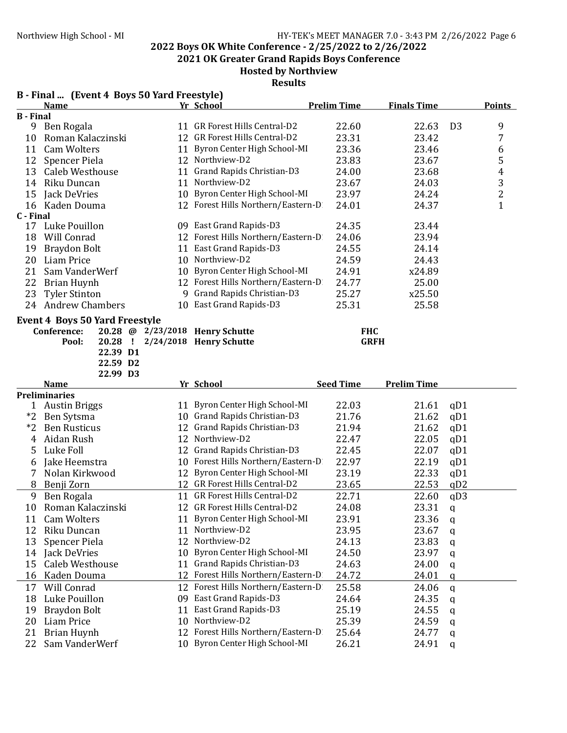#### Northview High School - MI **HY-TEK's MEET MANAGER 7.0 - 3:43 PM 2/26/2022** Page 6

# 2022 Boys OK White Conference - 2/25/2022 to 2/26/2022

2021 OK Greater Grand Rapids Boys Conference

#### Hosted by Northview

|                  | B - Final  (Event 4 Boys 50 Yard Freestyle) |    |                                                                      |                    |                    |                |                                            |  |  |  |  |  |
|------------------|---------------------------------------------|----|----------------------------------------------------------------------|--------------------|--------------------|----------------|--------------------------------------------|--|--|--|--|--|
|                  | <b>Name</b>                                 |    | Yr School                                                            | <b>Prelim Time</b> | <b>Finals Time</b> |                | <b>Points</b>                              |  |  |  |  |  |
| <b>B</b> - Final |                                             |    |                                                                      |                    |                    |                |                                            |  |  |  |  |  |
| 9                | Ben Rogala                                  |    | 11 GR Forest Hills Central-D2                                        | 22.60              | 22.63              | D <sub>3</sub> | 9                                          |  |  |  |  |  |
| 10               | Roman Kalaczinski                           |    | 12 GR Forest Hills Central-D2                                        | 23.31              | 23.42              |                | 7                                          |  |  |  |  |  |
| 11               | Cam Wolters                                 | 11 | Byron Center High School-MI                                          | 23.36              | 23.46              |                | 6                                          |  |  |  |  |  |
| 12               | Spencer Piela                               |    | 12 Northview-D2                                                      | 23.83              | 23.67              |                | 5                                          |  |  |  |  |  |
| 13               | Caleb Westhouse                             | 11 | Grand Rapids Christian-D3                                            | 24.00              | 23.68              |                | $\overline{4}$                             |  |  |  |  |  |
| 14               | Riku Duncan                                 |    | 11 Northview-D2                                                      | 23.67              | 24.03              |                |                                            |  |  |  |  |  |
| 15               | Jack DeVries                                |    | 10 Byron Center High School-MI                                       | 23.97              | 24.24              |                | $\begin{array}{c} 3 \\ 2 \\ 1 \end{array}$ |  |  |  |  |  |
|                  | 16 Kaden Douma                              |    | 12 Forest Hills Northern/Eastern-D                                   | 24.01              | 24.37              |                |                                            |  |  |  |  |  |
| C - Final        |                                             |    |                                                                      |                    |                    |                |                                            |  |  |  |  |  |
|                  | 17 Luke Pouillon                            |    | 09 East Grand Rapids-D3                                              | 24.35              | 23.44              |                |                                            |  |  |  |  |  |
| 18               | Will Conrad                                 |    | 12 Forest Hills Northern/Eastern-D                                   | 24.06              | 23.94              |                |                                            |  |  |  |  |  |
| 19               | Braydon Bolt                                |    | 11 East Grand Rapids-D3                                              | 24.55              | 24.14              |                |                                            |  |  |  |  |  |
| 20               | Liam Price                                  |    | 10 Northview-D2                                                      | 24.59              | 24.43              |                |                                            |  |  |  |  |  |
| 21               | Sam VanderWerf                              |    | 10 Byron Center High School-MI                                       | 24.91              | x24.89             |                |                                            |  |  |  |  |  |
| 22               | Brian Huynh                                 |    | 12 Forest Hills Northern/Eastern-D                                   | 24.77              | 25.00              |                |                                            |  |  |  |  |  |
| 23               | <b>Tyler Stinton</b>                        |    | 9 Grand Rapids Christian-D3                                          | 25.27              | x25.50             |                |                                            |  |  |  |  |  |
|                  | 24 Andrew Chambers                          |    | 10 East Grand Rapids-D3                                              | 25.31              | 25.58              |                |                                            |  |  |  |  |  |
|                  | <b>Event 4 Boys 50 Yard Freestyle</b>       |    |                                                                      |                    |                    |                |                                            |  |  |  |  |  |
|                  | Conference:                                 |    | 20.28 @ 2/23/2018 Henry Schutte                                      | <b>FHC</b>         |                    |                |                                            |  |  |  |  |  |
|                  | Pool:<br>20.28                              |    | $\frac{1}{2}$ 2/24/2018 Henry Schutte                                | <b>GRFH</b>        |                    |                |                                            |  |  |  |  |  |
|                  | 22.39 D1                                    |    |                                                                      |                    |                    |                |                                            |  |  |  |  |  |
|                  | 22.59 D2                                    |    |                                                                      |                    |                    |                |                                            |  |  |  |  |  |
|                  |                                             |    |                                                                      |                    |                    |                |                                            |  |  |  |  |  |
|                  |                                             |    |                                                                      |                    |                    |                |                                            |  |  |  |  |  |
|                  | 22.99 D3                                    |    |                                                                      |                    |                    |                |                                            |  |  |  |  |  |
|                  | <b>Name</b>                                 |    | Yr School                                                            | <b>Seed Time</b>   | <b>Prelim Time</b> |                |                                            |  |  |  |  |  |
| $\mathbf{1}$     | <b>Preliminaries</b>                        |    | 11 Byron Center High School-MI                                       | 22.03              | 21.61              | qD1            |                                            |  |  |  |  |  |
| $*2$             | <b>Austin Briggs</b>                        |    | 10 Grand Rapids Christian-D3                                         | 21.76              | 21.62              | qD1            |                                            |  |  |  |  |  |
| $*2$             | Ben Sytsma                                  | 12 |                                                                      |                    |                    |                |                                            |  |  |  |  |  |
| 4                | <b>Ben Rusticus</b>                         |    | Grand Rapids Christian-D3<br>12 Northview-D2                         | 21.94              | 21.62              | qD1            |                                            |  |  |  |  |  |
|                  | Aidan Rush                                  |    |                                                                      | 22.47              | 22.05              | qD1            |                                            |  |  |  |  |  |
| 5                | Luke Foll                                   |    | 12 Grand Rapids Christian-D3                                         | 22.45              | 22.07              | qD1            |                                            |  |  |  |  |  |
| 6<br>7           | Jake Heemstra                               |    | 10 Forest Hills Northern/Eastern-D                                   | 22.97              | 22.19              | qD1            |                                            |  |  |  |  |  |
|                  | Nolan Kirkwood                              | 12 | Byron Center High School-MI                                          | 23.19              | 22.33              | qD1            |                                            |  |  |  |  |  |
| 8                | Benji Zorn                                  |    | 12 GR Forest Hills Central-D2                                        | 23.65              | 22.53              | qD2            |                                            |  |  |  |  |  |
| 9                | Ben Rogala                                  |    | 11 GR Forest Hills Central-D2                                        | 22.71              | 22.60              | qD3            |                                            |  |  |  |  |  |
| 10               | Roman Kalaczinski                           |    | 12 GR Forest Hills Central-D2                                        | 24.08              | 23.31              | q              |                                            |  |  |  |  |  |
| 11               | Cam Wolters                                 | 11 | Byron Center High School-MI                                          | 23.91              | 23.36              | q              |                                            |  |  |  |  |  |
| 12               | Riku Duncan                                 | 11 | Northview-D2                                                         | 23.95              | 23.67              | q              |                                            |  |  |  |  |  |
| 13               | Spencer Piela                               | 12 | Northview-D2                                                         | 24.13              | 23.83              | q              |                                            |  |  |  |  |  |
| 14               | Jack DeVries                                | 10 | Byron Center High School-MI                                          | 24.50              | 23.97              | q              |                                            |  |  |  |  |  |
| 15               | Caleb Westhouse                             | 11 | Grand Rapids Christian-D3                                            | 24.63              | 24.00              | q              |                                            |  |  |  |  |  |
| 16               | Kaden Douma                                 | 12 | Forest Hills Northern/Eastern-D                                      | 24.72              | 24.01              | q              |                                            |  |  |  |  |  |
| 17               | Will Conrad                                 | 12 | Forest Hills Northern/Eastern-D                                      | 25.58              | 24.06              | q              |                                            |  |  |  |  |  |
| 18               | Luke Pouillon                               | 09 | East Grand Rapids-D3                                                 | 24.64              | 24.35              | $\mathbf q$    |                                            |  |  |  |  |  |
| 19               | Braydon Bolt                                | 11 | East Grand Rapids-D3                                                 | 25.19              | 24.55              | q              |                                            |  |  |  |  |  |
| 20               | Liam Price                                  | 10 | Northview-D2                                                         | 25.39              | 24.59              | q              |                                            |  |  |  |  |  |
| 21<br>22         | Brian Huynh<br>Sam VanderWerf               |    | 12 Forest Hills Northern/Eastern-D<br>10 Byron Center High School-MI | 25.64<br>26.21     | 24.77<br>24.91     | q<br>q         |                                            |  |  |  |  |  |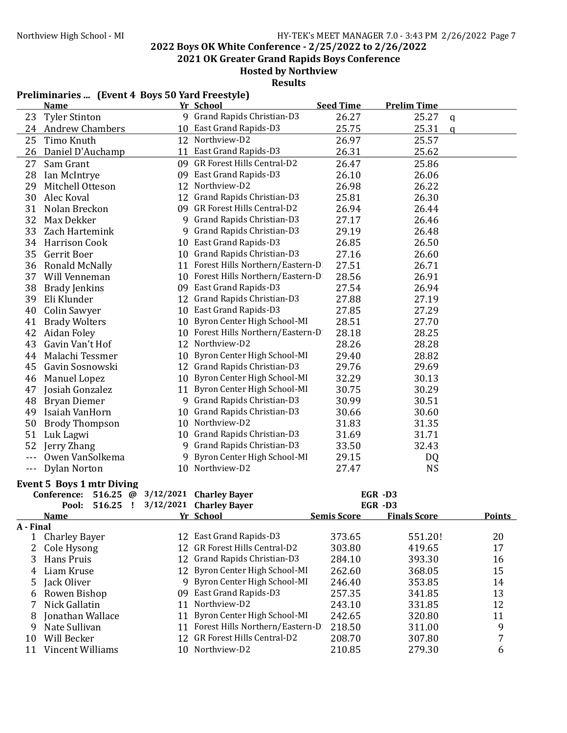2021 OK Greater Grand Rapids Boys Conference

Hosted by Northview Results

#### Name The School Seed Time Prelim Time 23 Tyler Stinton 9 Grand Rapids Christian-D3 26.27 25.27 q 24 Andrew Chambers 10 East Grand Rapids-D3 25.75 25.31 q 25 Timo Knuth 12 Northview-D2 26.97 25.57 26 Daniel D'Auchamp 11 East Grand Rapids-D3 26.31 25.62 27 Sam Grant 09 GR Forest Hills Central-D2 26.47 25.86 28 Ian McIntrye 09 East Grand Rapids-D3 26.10 26.06 29 Mitchell Otteson 12 Northview-D2 26.98 26.22 30 Alec Koval 12 Grand Rapids Christian-D3 25.81 26.30 31 Nolan Breckon 09 GR Forest Hills Central-D2 26.94 26.44 32 Max Dekker 9 Grand Rapids Christian-D3 27.17 26.46 33 Zach Hartemink 9 Grand Rapids Christian-D3 29.19 26.48 34 Harrison Cook 10 East Grand Rapids-D3 26.85 26.50 35 Gerrit Boer 10 Grand Rapids Christian-D3 27.16 26.60 36 Ronald McNally 11 Forest Hills Northern/Eastern-D 27.51 26.71 37 Will Venneman 10 Forest Hills Northern/Eastern-D 28.56 26.91 38 Brady Jenkins 09 East Grand Rapids-D3 27.54 26.94 39 Eli Klunder 12 Grand Rapids Christian-D3 27.88 27.19 40 Colin Sawyer 10 East Grand Rapids-D3 27.85 27.29 41 Brady Wolters 10 Byron Center High School-MI 28.51 27.70 42 Aidan Foley 10 Forest Hills Northern/Eastern-D 28.18 28.25 43 Gavin Van't Hof 12 Northview-D2 28.26 28.28 44 Malachi Tessmer 10 Byron Center High School-MI 29.40 28.82 45 Gavin Sosnowski 12 Grand Rapids Christian-D3 29.76 29.69 46 Manuel Lopez 10 Byron Center High School-MI 32.29 30.13 47 Josiah Gonzalez 11 Byron Center High School-MI 30.75 30.29 48 Bryan Diemer 9 Grand Rapids Christian-D3 30.99 30.51 49 Isaiah VanHorn 10 Grand Rapids Christian-D3 30.66 30.60 50 Brody Thompson 10 Northview-D2 31.83 31.35 51 Luk Lagwi 10 Grand Rapids Christian-D3 31.69 31.71 52 Jerry Zhang 32.43 Owen VanSolkema 9 Byron Center High School-MI 29.15 DQ Dylan Norton 10 Northview-D2 27.47 NS Event 5 Boys 1 mtr Diving Conference: 516.25 @ 3/12/2021 Charley Bayer EGR -D3 Pool: 516.25 ! 3/12/2021 Charley Bayer EGR -D3 Name Yr School Semis Score Finals Score Points A - Final 12 East Grand Rapids-D3 373.65 551.20! 20 2 Cole Hysong 12 GR Forest Hills Central-D2 303.80 419.65 17 3 Hans Pruis 12 Grand Rapids Christian-D3 284.10 393.30 16 4 Liam Kruse 12 Byron Center High School-MI 262.60 368.05 15 5 Jack Oliver 9 Byron Center High School-MI 246.40 353.85 14 6 Rowen Bishop 09 East Grand Rapids-D3 257.35 341.85 13 7 Nick Gallatin 11 Northview-D2 243.10 331.85 12 8 Jonathan Wallace 11 Byron Center High School-MI 242.65 320.80 11<br>9 Nate Sullivan 11 Forest Hills Northern/Eastern-D 218.50 311.00 9 9 Nate Sullivan 11 Forest Hills Northern/Eastern-D 218.50 311.00 10 Will Becker 12 GR Forest Hills Central-D2 208.70 307.80 7 11 Vincent Williams 10 Northview-D2 210.85 279.30 6

#### Preliminaries ... (Event 4 Boys 50 Yard Freestyle)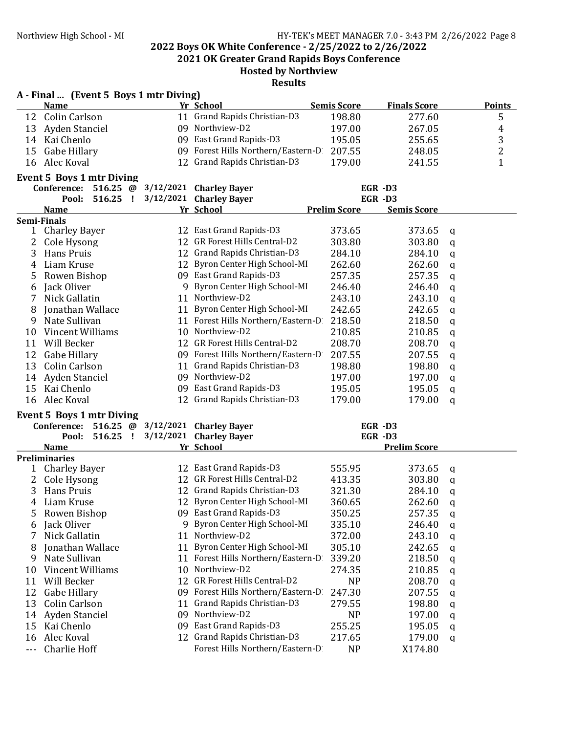2021 OK Greater Grand Rapids Boys Conference

#### Hosted by Northview Results

|                   | A - Final  (Event 5 Boys 1 mtr Diving) |    |                                    |                     |                     |                |
|-------------------|----------------------------------------|----|------------------------------------|---------------------|---------------------|----------------|
|                   | <b>Name</b>                            |    | Yr School                          | <b>Semis Score</b>  | <b>Finals Score</b> | <b>Points</b>  |
|                   | 12 Colin Carlson                       |    | 11 Grand Rapids Christian-D3       | 198.80              | 277.60              | 5              |
|                   | 13 Ayden Stanciel                      |    | 09 Northview-D2                    | 197.00              | 267.05              | $\overline{4}$ |
|                   | 14 Kai Chenlo                          |    | 09 East Grand Rapids-D3            | 195.05              | 255.65              | 3              |
| 15                | Gabe Hillary                           |    | 09 Forest Hills Northern/Eastern-D | 207.55              | 248.05              | $\overline{c}$ |
| 16                | Alec Koval                             |    | 12 Grand Rapids Christian-D3       | 179.00              | 241.55              | $\mathbf{1}$   |
|                   | <b>Event 5 Boys 1 mtr Diving</b>       |    |                                    |                     |                     |                |
|                   | 516.25 $@$<br>Conference:              |    | 3/12/2021 Charley Bayer            |                     | EGR-D3              |                |
|                   | Pool:<br>$516.25$ !                    |    | 3/12/2021 Charley Bayer            |                     | EGR-D3              |                |
|                   | <b>Name</b>                            |    | Yr School                          | <b>Prelim Score</b> | <b>Semis Score</b>  |                |
|                   | Semi-Finals                            |    |                                    |                     |                     |                |
| $\mathbf{1}$      | <b>Charley Bayer</b>                   |    | 12 East Grand Rapids-D3            | 373.65              | 373.65              | q              |
| 2                 | Cole Hysong                            |    | 12 GR Forest Hills Central-D2      | 303.80              | 303.80              | q              |
| 3                 | Hans Pruis                             |    | 12 Grand Rapids Christian-D3       | 284.10              | 284.10              | q              |
| 4                 | Liam Kruse                             |    | 12 Byron Center High School-MI     | 262.60              | 262.60              | q              |
| 5                 | Rowen Bishop                           |    | 09 East Grand Rapids-D3            | 257.35              | 257.35              | q              |
| 6                 | Jack Oliver                            |    | 9 Byron Center High School-MI      | 246.40              | 246.40              | q              |
| 7                 | Nick Gallatin                          |    | 11 Northview-D2                    | 243.10              | 243.10              | q              |
| 8                 | Jonathan Wallace                       |    | 11 Byron Center High School-MI     | 242.65              | 242.65              | q              |
| 9                 | Nate Sullivan                          |    | 11 Forest Hills Northern/Eastern-D | 218.50              | 218.50              | $\mathsf{q}$   |
| 10                | <b>Vincent Williams</b>                |    | 10 Northview-D2                    | 210.85              | 210.85              | $\mathbf q$    |
| 11                | Will Becker                            |    | 12 GR Forest Hills Central-D2      | 208.70              | 208.70              | q              |
| 12                | Gabe Hillary                           |    | 09 Forest Hills Northern/Eastern-D | 207.55              | 207.55              | q              |
| 13                | Colin Carlson                          |    | 11 Grand Rapids Christian-D3       | 198.80              | 198.80              | $\mathbf q$    |
| 14                | Ayden Stanciel                         |    | 09 Northview-D2                    | 197.00              | 197.00              | $\mathsf{q}$   |
|                   | 15 Kai Chenlo                          |    | 09 East Grand Rapids-D3            | 195.05              | 195.05              | $\mathbf q$    |
| 16                | Alec Koval                             |    | 12 Grand Rapids Christian-D3       | 179.00              | 179.00              | q              |
|                   | <b>Event 5 Boys 1 mtr Diving</b>       |    |                                    |                     |                     |                |
|                   | 516.25 $@$<br>Conference:              |    | 3/12/2021 Charley Bayer            |                     | EGR-D3              |                |
|                   | $516.25$ !<br>Pool:                    |    | 3/12/2021 Charley Bayer            |                     | EGR-D3              |                |
|                   | <b>Name</b>                            |    | Yr School                          |                     | <b>Prelim Score</b> |                |
|                   | <b>Preliminaries</b>                   |    |                                    |                     |                     |                |
| 1                 | <b>Charley Bayer</b>                   |    | 12 East Grand Rapids-D3            | 555.95              | 373.65              | q              |
| 2                 | Cole Hysong                            |    | 12 GR Forest Hills Central-D2      | 413.35              | 303.80              | q              |
| 3                 | Hans Pruis                             |    | 12 Grand Rapids Christian-D3       | 321.30              | 284.10              | q              |
| 4                 | Liam Kruse                             |    | 12 Byron Center High School-MI     | 360.65              | 262.60              | q              |
| 5                 | Rowen Bishop                           |    | 09 East Grand Rapids-D3            | 350.25              | 257.35              | q              |
| 6                 | Jack Oliver                            |    | 9 Byron Center High School-MI      | 335.10              | 246.40              | q              |
|                   | Nick Gallatin                          | 11 | Northview-D2                       | 372.00              | 243.10              | q              |
| 8                 | Jonathan Wallace                       | 11 | Byron Center High School-MI        | 305.10              | 242.65              | q              |
| 9                 | Nate Sullivan                          | 11 | Forest Hills Northern/Eastern-D    | 339.20              | 218.50              | q              |
| 10                | Vincent Williams                       | 10 | Northview-D2                       | 274.35              | 210.85              | q              |
| 11                | Will Becker                            |    | 12 GR Forest Hills Central-D2      | NP                  | 208.70              | q              |
| 12                | Gabe Hillary                           |    | 09 Forest Hills Northern/Eastern-D | 247.30              | 207.55              | q              |
| 13                | Colin Carlson                          | 11 | Grand Rapids Christian-D3          | 279.55              | 198.80              | q              |
| 14                | Ayden Stanciel                         | 09 | Northview-D2                       | NP                  | 197.00              | q              |
| 15                | Kai Chenlo                             | 09 | East Grand Rapids-D3               | 255.25              | 195.05              | q              |
| 16                | Alec Koval                             |    | 12 Grand Rapids Christian-D3       | 217.65              | 179.00              | q              |
| $\qquad \qquad -$ | Charlie Hoff                           |    | Forest Hills Northern/Eastern-D    | NP                  | X174.80             |                |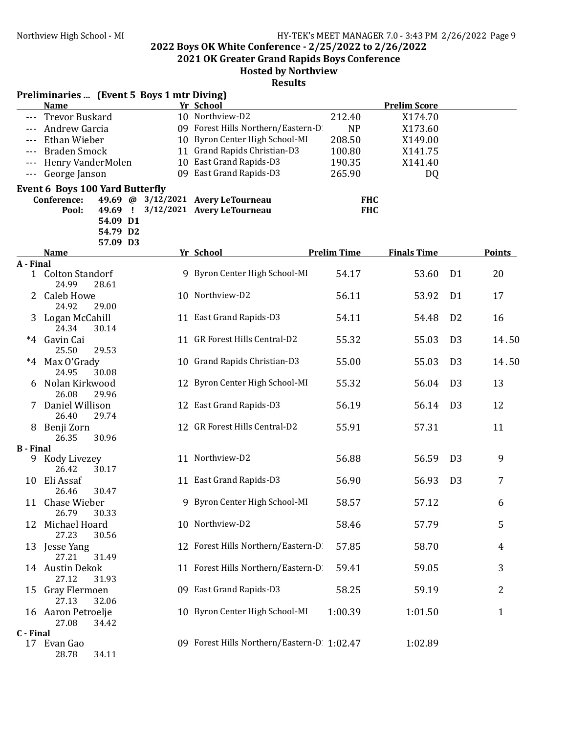2021 OK Greater Grand Rapids Boys Conference

#### Hosted by Northview **Results**

|                  |                                        |          | Preliminaries  (Event 5 Boys 1 mtr Diving) |                                            |                    |                     |                |                |
|------------------|----------------------------------------|----------|--------------------------------------------|--------------------------------------------|--------------------|---------------------|----------------|----------------|
|                  | <b>Name</b>                            |          |                                            | Yr School                                  |                    | <b>Prelim Score</b> |                |                |
| $- - -$          | <b>Trevor Buskard</b>                  |          |                                            | 10 Northview-D2                            | 212.40             | X174.70             |                |                |
| $- - -$          | Andrew Garcia                          |          |                                            | 09 Forest Hills Northern/Eastern-D         | <b>NP</b>          | X173.60             |                |                |
| $- - -$          | Ethan Wieber                           |          |                                            | 10 Byron Center High School-MI             | 208.50             | X149.00             |                |                |
| $- - -$          | <b>Braden Smock</b>                    |          |                                            | 11 Grand Rapids Christian-D3               | 100.80             | X141.75             |                |                |
|                  | Henry VanderMolen                      |          |                                            | 10 East Grand Rapids-D3                    | 190.35             | X141.40             |                |                |
| $- - -$          | George Janson                          |          |                                            | 09 East Grand Rapids-D3                    | 265.90             | DQ                  |                |                |
|                  | <b>Event 6 Boys 100 Yard Butterfly</b> |          |                                            |                                            |                    |                     |                |                |
|                  | Conference:                            |          |                                            | 49.69 @ 3/12/2021 Avery LeTourneau         |                    | <b>FHC</b>          |                |                |
|                  | Pool:                                  | 49.69 !  |                                            | 3/12/2021 Avery LeTourneau                 |                    | <b>FHC</b>          |                |                |
|                  |                                        | 54.09 D1 |                                            |                                            |                    |                     |                |                |
|                  |                                        | 54.79 D2 |                                            |                                            |                    |                     |                |                |
|                  |                                        | 57.09 D3 |                                            |                                            |                    |                     |                |                |
|                  | <b>Name</b>                            |          |                                            | Yr School                                  | <b>Prelim Time</b> | <b>Finals Time</b>  |                | <b>Points</b>  |
| A - Final        | 1 Colton Standorf                      |          |                                            | 9 Byron Center High School-MI              | 54.17              | 53.60               | D1             | 20             |
|                  | 24.99                                  | 28.61    |                                            |                                            |                    |                     |                |                |
|                  | 2 Caleb Howe                           |          |                                            | 10 Northview-D2                            | 56.11              | 53.92               | D1             | 17             |
|                  | 24.92                                  | 29.00    |                                            |                                            |                    |                     |                |                |
|                  | 3 Logan McCahill                       |          |                                            | 11 East Grand Rapids-D3                    | 54.11              | 54.48               | D <sub>2</sub> | 16             |
|                  | 24.34                                  | 30.14    |                                            |                                            |                    |                     |                |                |
|                  | *4 Gavin Cai                           |          |                                            | 11 GR Forest Hills Central-D2              | 55.32              | 55.03               | D <sub>3</sub> | 14.50          |
|                  | 25.50                                  | 29.53    |                                            |                                            |                    |                     |                |                |
| $*4$             | Max O'Grady                            |          |                                            | 10 Grand Rapids Christian-D3               | 55.00              | 55.03               | D <sub>3</sub> | 14.50          |
|                  | 24.95                                  | 30.08    |                                            |                                            |                    |                     |                |                |
| 6                | Nolan Kirkwood                         |          |                                            | 12 Byron Center High School-MI             | 55.32              | 56.04               | D <sub>3</sub> | 13             |
|                  | 26.08                                  | 29.96    |                                            |                                            |                    |                     |                |                |
|                  | Daniel Willison                        |          |                                            | 12 East Grand Rapids-D3                    | 56.19              | 56.14               | D <sub>3</sub> | 12             |
|                  | 26.40                                  | 29.74    |                                            |                                            |                    |                     |                |                |
| 8                | Benji Zorn                             |          |                                            | 12 GR Forest Hills Central-D2              | 55.91              | 57.31               |                | 11             |
|                  | 26.35                                  | 30.96    |                                            |                                            |                    |                     |                |                |
| <b>B</b> - Final |                                        |          |                                            |                                            |                    |                     |                |                |
| 9                | Kody Livezey                           |          |                                            | 11 Northview-D2                            | 56.88              | 56.59               | D <sub>3</sub> | 9              |
|                  | 26.42                                  | 30.17    |                                            |                                            |                    |                     |                |                |
| 10               | Eli Assaf                              |          |                                            | 11 East Grand Rapids-D3                    | 56.90              | 56.93               | D <sub>3</sub> | 7              |
|                  | 26.46                                  | 30.47    |                                            |                                            |                    |                     |                |                |
|                  | 11 Chase Wieber                        |          |                                            | 9 Byron Center High School-MI              | 58.57              | 57.12               |                | 6              |
|                  | 26.79                                  | 30.33    |                                            |                                            |                    |                     |                |                |
| 12               | Michael Hoard                          |          |                                            | 10 Northview-D2                            | 58.46              | 57.79               |                | 5              |
|                  | 27.23                                  | 30.56    |                                            |                                            |                    |                     |                |                |
|                  | 13 Jesse Yang                          |          |                                            | 12 Forest Hills Northern/Eastern-D         | 57.85              | 58.70               |                | 4              |
|                  | 27.21                                  | 31.49    |                                            |                                            |                    |                     |                |                |
|                  | 14 Austin Dekok                        |          |                                            | 11 Forest Hills Northern/Eastern-D         | 59.41              | 59.05               |                | 3              |
|                  | 27.12                                  | 31.93    |                                            |                                            |                    |                     |                |                |
|                  | 15 Gray Flermoen                       |          |                                            | 09 East Grand Rapids-D3                    | 58.25              | 59.19               |                | $\overline{2}$ |
|                  | 27.13                                  | 32.06    |                                            |                                            |                    |                     |                |                |
|                  | 16 Aaron Petroelje                     |          |                                            | 10 Byron Center High School-MI             | 1:00.39            | 1:01.50             |                | $\mathbf{1}$   |
|                  | 27.08                                  | 34.42    |                                            |                                            |                    |                     |                |                |
| C - Final        |                                        |          |                                            |                                            |                    |                     |                |                |
|                  | 17 Evan Gao                            |          |                                            | 09 Forest Hills Northern/Eastern-D 1:02.47 |                    | 1:02.89             |                |                |
|                  | 28.78                                  | 34.11    |                                            |                                            |                    |                     |                |                |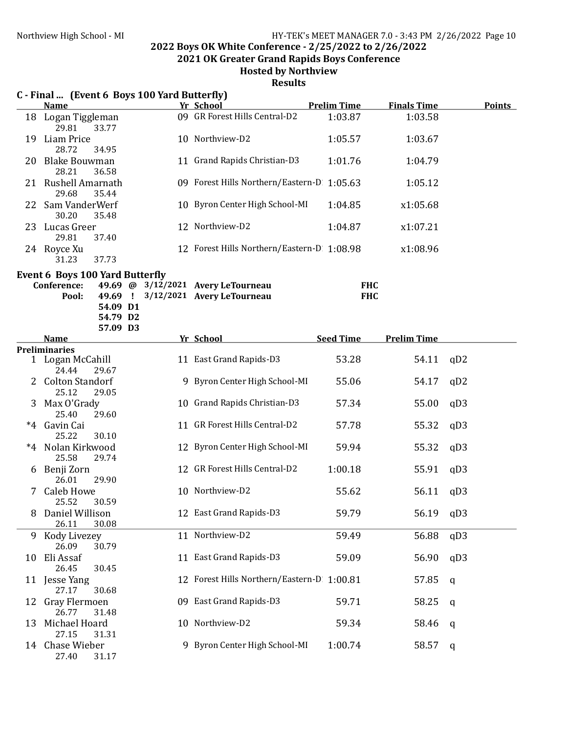2021 OK Greater Grand Rapids Boys Conference

#### Hosted by Northview

|      | C - Final  (Event 6 Boys 100 Yard Butterfly)<br><b>Name</b> |                                  |  | Yr School                                                                | <b>Prelim Time</b>       | <b>Finals Time</b> |     | Points |
|------|-------------------------------------------------------------|----------------------------------|--|--------------------------------------------------------------------------|--------------------------|--------------------|-----|--------|
|      | 18 Logan Tiggleman<br>29.81<br>33.77                        |                                  |  | 09 GR Forest Hills Central-D2                                            | 1:03.87                  | 1:03.58            |     |        |
| 19   | Liam Price<br>28.72                                         |                                  |  | 10 Northview-D2                                                          | 1:05.57                  | 1:03.67            |     |        |
| 20   | 34.95<br>Blake Bouwman<br>28.21<br>36.58                    |                                  |  | 11 Grand Rapids Christian-D3                                             | 1:01.76                  | 1:04.79            |     |        |
|      | 21 Rushell Amarnath<br>29.68<br>35.44                       |                                  |  | 09 Forest Hills Northern/Eastern-D 1:05.63                               |                          | 1:05.12            |     |        |
|      | 22 Sam VanderWerf<br>30.20<br>35.48                         |                                  |  | 10 Byron Center High School-MI                                           | 1:04.85                  | x1:05.68           |     |        |
|      | 23 Lucas Greer<br>29.81<br>37.40                            |                                  |  | 12 Northview-D2                                                          | 1:04.87                  | x1:07.21           |     |        |
|      | 24 Royce Xu<br>31.23<br>37.73                               |                                  |  | 12 Forest Hills Northern/Eastern-D 1:08.98                               |                          | x1:08.96           |     |        |
|      | <b>Event 6 Boys 100 Yard Butterfly</b>                      |                                  |  |                                                                          |                          |                    |     |        |
|      | Conference:<br>Pool:                                        |                                  |  | 49.69 @ 3/12/2021 Avery LeTourneau<br>49.69 ! 3/12/2021 Avery LeTourneau | <b>FHC</b><br><b>FHC</b> |                    |     |        |
|      |                                                             | 54.09 D1<br>54.79 D2<br>57.09 D3 |  |                                                                          |                          |                    |     |        |
|      | <b>Name</b>                                                 |                                  |  | Yr School                                                                | <b>Seed Time</b>         | <b>Prelim Time</b> |     |        |
|      | <b>Preliminaries</b>                                        |                                  |  |                                                                          |                          |                    |     |        |
|      | 1 Logan McCahill<br>24.44<br>29.67                          |                                  |  | 11 East Grand Rapids-D3                                                  | 53.28                    | 54.11              | qD2 |        |
|      | 2 Colton Standorf<br>25.12<br>29.05                         |                                  |  | 9 Byron Center High School-MI                                            | 55.06                    | 54.17              | qD2 |        |
| 3    | Max O'Grady<br>29.60<br>25.40                               |                                  |  | 10 Grand Rapids Christian-D3                                             | 57.34                    | 55.00              | qD3 |        |
|      | *4 Gavin Cai<br>25.22<br>30.10                              |                                  |  | 11 GR Forest Hills Central-D2                                            | 57.78                    | 55.32              | qD3 |        |
| $*4$ | Nolan Kirkwood<br>25.58<br>29.74                            |                                  |  | 12 Byron Center High School-MI                                           | 59.94                    | 55.32              | qD3 |        |
|      | 6 Benji Zorn<br>26.01<br>29.90                              |                                  |  | 12 GR Forest Hills Central-D2                                            | 1:00.18                  | 55.91              | qD3 |        |
| 7    | Caleb Howe<br>25.52<br>30.59                                |                                  |  | 10 Northview-D2                                                          | 55.62                    | 56.11              | qD3 |        |
| 8    | Daniel Willison<br>26.11<br>30.08                           |                                  |  | 12 East Grand Rapids-D3                                                  | 59.79                    | 56.19              | qD3 |        |
| 9    | Kody Livezey<br>26.09<br>30.79                              |                                  |  | 11 Northview-D2                                                          | 59.49                    | 56.88              | qD3 |        |
| 10   | Eli Assaf<br>26.45<br>30.45                                 |                                  |  | 11 East Grand Rapids-D3                                                  | 59.09                    | 56.90              | qD3 |        |
| 11   | Jesse Yang<br>27.17<br>30.68                                |                                  |  | 12 Forest Hills Northern/Eastern-D 1:00.81                               |                          | 57.85              | q   |        |
| 12   | Gray Flermoen<br>31.48<br>26.77                             |                                  |  | 09 East Grand Rapids-D3                                                  | 59.71                    | 58.25              | q   |        |
| 13   | Michael Hoard<br>27.15<br>31.31                             |                                  |  | 10 Northview-D2                                                          | 59.34                    | 58.46              | q   |        |
| 14   | Chase Wieber<br>27.40<br>31.17                              |                                  |  | 9 Byron Center High School-MI                                            | 1:00.74                  | 58.57              | q   |        |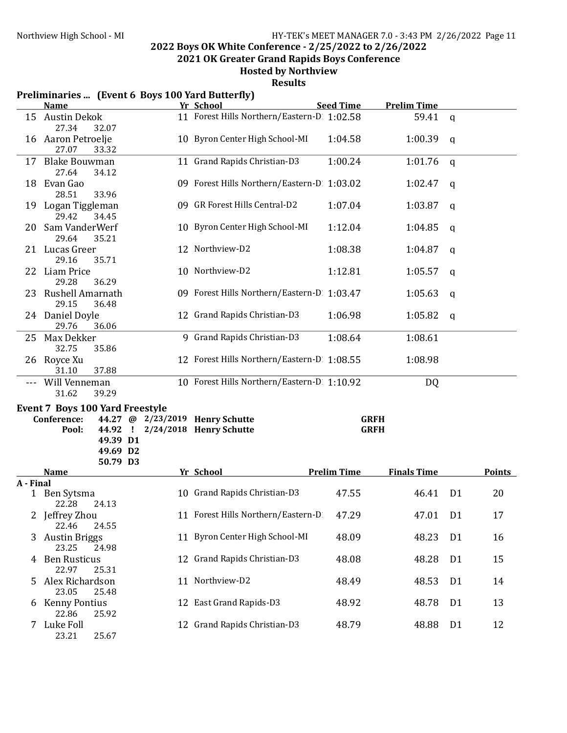2021 OK Greater Grand Rapids Boys Conference

# Hosted by Northview

|           |                                        |                      | Preliminaries  (Event 6 Boys 100 Yard Butterfly) |                                            |                    |                    |                |               |
|-----------|----------------------------------------|----------------------|--------------------------------------------------|--------------------------------------------|--------------------|--------------------|----------------|---------------|
|           | <b>Name</b>                            |                      |                                                  | Yr School                                  | <b>Seed Time</b>   | <b>Prelim Time</b> |                |               |
| 15        | Austin Dekok<br>27.34                  | 32.07                |                                                  | 11 Forest Hills Northern/Eastern-D 1:02.58 |                    | 59.41              | $\mathbf{q}$   |               |
|           | 16 Aaron Petroelje<br>27.07            | 33.32                |                                                  | 10 Byron Center High School-MI             | 1:04.58            | 1:00.39            | a              |               |
| 17        | <b>Blake Bouwman</b><br>27.64          | 34.12                |                                                  | 11 Grand Rapids Christian-D3               | 1:00.24            | 1:01.76            | $\mathbf{q}$   |               |
| 18        | Evan Gao<br>28.51                      | 33.96                |                                                  | 09 Forest Hills Northern/Eastern-D         | 1:03.02            | 1:02.47            | a              |               |
| 19        | Logan Tiggleman<br>29.42               | 34.45                |                                                  | 09 GR Forest Hills Central-D2              | 1:07.04            | 1:03.87            | q              |               |
| 20.       | Sam VanderWerf<br>29.64                | 35.21                |                                                  | 10 Byron Center High School-MI             | 1:12.04            | 1:04.85            | a              |               |
| 21        | Lucas Greer<br>29.16                   | 35.71                |                                                  | 12 Northview-D2                            | 1:08.38            | 1:04.87            | a              |               |
| 22        | Liam Price<br>29.28                    | 36.29                |                                                  | 10 Northview-D2                            | 1:12.81            | 1:05.57            | q              |               |
| 23        | Rushell Amarnath<br>29.15              | 36.48                |                                                  | 09 Forest Hills Northern/Eastern-D 1:03.47 |                    | 1:05.63            | q              |               |
|           | 24 Daniel Doyle<br>29.76               | 36.06                |                                                  | 12 Grand Rapids Christian-D3               | 1:06.98            | 1:05.82            | $\mathbf q$    |               |
| 25        | Max Dekker<br>32.75                    | 35.86                |                                                  | 9 Grand Rapids Christian-D3                | 1:08.64            | 1:08.61            |                |               |
|           | 26 Royce Xu<br>31.10                   | 37.88                |                                                  | 12 Forest Hills Northern/Eastern-D 1:08.55 |                    | 1:08.98            |                |               |
|           | Will Venneman<br>31.62                 | 39.29                |                                                  | 10 Forest Hills Northern/Eastern-D 1:10.92 |                    | DQ                 |                |               |
|           | <b>Event 7 Boys 100 Yard Freestyle</b> |                      |                                                  |                                            |                    |                    |                |               |
|           | Conference:                            |                      | 44.27 @ 2/23/2019 Henry Schutte                  |                                            |                    | <b>GRFH</b>        |                |               |
|           | Pool:                                  | 44.92 !              |                                                  | 2/24/2018 Henry Schutte                    |                    | <b>GRFH</b>        |                |               |
|           |                                        | 49.39 D1             |                                                  |                                            |                    |                    |                |               |
|           |                                        | 49.69 D <sub>2</sub> |                                                  |                                            |                    |                    |                |               |
|           |                                        | 50.79 D3             |                                                  | Yr School                                  |                    | <b>Finals Time</b> |                | <b>Points</b> |
| A - Final | <b>Name</b>                            |                      |                                                  |                                            | <b>Prelim Time</b> |                    |                |               |
|           | 1 Ben Sytsma<br>22.28 24.13            |                      |                                                  | 10 Grand Rapids Christian-D3               | 47.55              | 46.41              | D1             | 20            |
|           | 2 Jeffrey Zhou<br>22.46                | 24.55                |                                                  | 11 Forest Hills Northern/Eastern-D         | 47.29              | 47.01              | D <sub>1</sub> | 17            |
| 3         | <b>Austin Briggs</b><br>23.25          | 24.98                |                                                  | 11 Byron Center High School-MI             | 48.09              | 48.23              | D <sub>1</sub> | 16            |
| 4         | <b>Ben Rusticus</b><br>22.97           | 25.31                |                                                  | 12 Grand Rapids Christian-D3               | 48.08              | 48.28              | D <sub>1</sub> | 15            |
| 5.        | Alex Richardson<br>23.05               | 25.48                |                                                  | 11 Northview-D2                            | 48.49              | 48.53              | D <sub>1</sub> | 14            |
|           | 6 Kenny Pontius                        |                      |                                                  | 12 East Grand Rapids-D3                    | 48.92              | 48.78              | D <sub>1</sub> | 13            |
| 7.        | 22.86<br>Luke Foll<br>23.21            | 25.92<br>25.67       |                                                  | 12 Grand Rapids Christian-D3               | 48.79              | 48.88              | D <sub>1</sub> | 12            |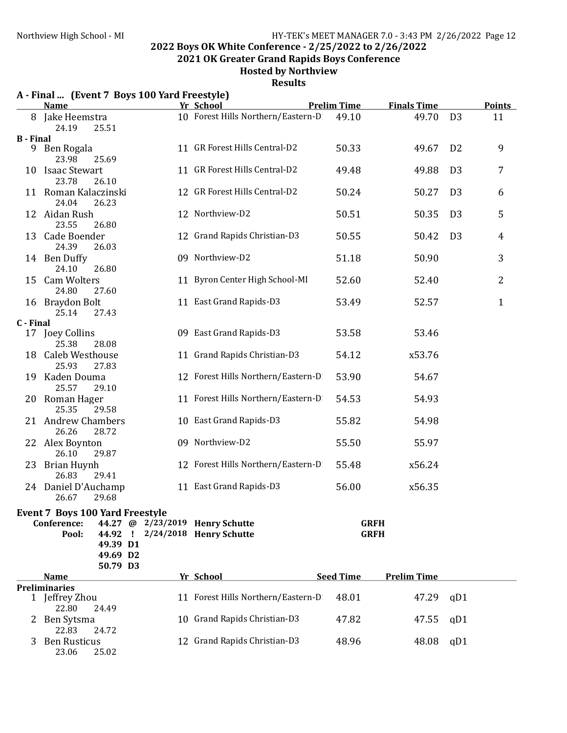2021 OK Greater Grand Rapids Boys Conference

#### Hosted by Northview

|                  | A - Final  (Event 7 Boys 100 Yard Freestyle) |           |                                    |                    |                    |                |                |
|------------------|----------------------------------------------|-----------|------------------------------------|--------------------|--------------------|----------------|----------------|
|                  | <b>Name</b>                                  |           | Yr School                          | <b>Prelim Time</b> | <b>Finals Time</b> |                | <b>Points</b>  |
|                  | 8 Jake Heemstra<br>24.19<br>25.51            |           | 10 Forest Hills Northern/Eastern-D | 49.10              | 49.70              | D <sub>3</sub> | 11             |
| <b>B</b> - Final |                                              |           |                                    |                    |                    |                |                |
|                  | 9 Ben Rogala<br>23.98<br>25.69               |           | 11 GR Forest Hills Central-D2      | 50.33              | 49.67              | D <sub>2</sub> | 9              |
| 10               | Isaac Stewart<br>23.78<br>26.10              |           | 11 GR Forest Hills Central-D2      | 49.48              | 49.88              | D <sub>3</sub> | 7              |
|                  | 11 Roman Kalaczinski<br>24.04<br>26.23       |           | 12 GR Forest Hills Central-D2      | 50.24              | 50.27              | D <sub>3</sub> | 6              |
|                  | 12 Aidan Rush<br>23.55<br>26.80              |           | 12 Northview-D2                    | 50.51              | 50.35              | D <sub>3</sub> | 5              |
|                  | 13 Cade Boender<br>24.39<br>26.03            |           | 12 Grand Rapids Christian-D3       | 50.55              | 50.42              | D <sub>3</sub> | $\overline{4}$ |
|                  | 14 Ben Duffy<br>24.10<br>26.80               |           | 09 Northview-D2                    | 51.18              | 50.90              |                | 3              |
|                  | 15 Cam Wolters<br>24.80<br>27.60             |           | 11 Byron Center High School-MI     | 52.60              | 52.40              |                | $\overline{2}$ |
|                  | 16 Braydon Bolt<br>25.14<br>27.43            |           | 11 East Grand Rapids-D3            | 53.49              | 52.57              |                | $\mathbf{1}$   |
| C - Final        |                                              |           |                                    |                    |                    |                |                |
| 17               | Joey Collins<br>25.38<br>28.08               |           | 09 East Grand Rapids-D3            | 53.58              | 53.46              |                |                |
|                  | 18 Caleb Westhouse<br>25.93<br>27.83         |           | 11 Grand Rapids Christian-D3       | 54.12              | x53.76             |                |                |
|                  | 19 Kaden Douma<br>25.57<br>29.10             |           | 12 Forest Hills Northern/Eastern-D | 53.90              | 54.67              |                |                |
|                  | 20 Roman Hager<br>25.35<br>29.58             |           | 11 Forest Hills Northern/Eastern-D | 54.53              | 54.93              |                |                |
|                  | 21 Andrew Chambers<br>26.26<br>28.72         |           | 10 East Grand Rapids-D3            | 55.82              | 54.98              |                |                |
|                  | 22 Alex Boynton<br>26.10<br>29.87            |           | 09 Northview-D2                    | 55.50              | 55.97              |                |                |
|                  | 23 Brian Huynh<br>26.83<br>29.41             |           | 12 Forest Hills Northern/Eastern-D | 55.48              | x56.24             |                |                |
|                  | 24 Daniel D'Auchamp<br>29.68<br>26.67        |           | 11 East Grand Rapids-D3            | 56.00              | x56.35             |                |                |
|                  | <b>Event 7 Boys 100 Yard Freestyle</b>       |           |                                    |                    |                    |                |                |
|                  | Conference:                                  |           | 44.27 @ 2/23/2019 Henry Schutte    |                    | <b>GRFH</b>        |                |                |
|                  | Pool:<br>44.92<br>$\mathbf{I}$<br>49.39 D1   | 2/24/2018 | <b>Henry Schutte</b>               |                    | <b>GRFH</b>        |                |                |
|                  | 49.69 D2                                     |           |                                    |                    |                    |                |                |
|                  | 50.79 D3                                     |           |                                    |                    |                    |                |                |
|                  | <b>Name</b>                                  |           | Yr School                          | <b>Seed Time</b>   | <b>Prelim Time</b> |                |                |
|                  | <b>Preliminaries</b>                         |           |                                    |                    |                    |                |                |
|                  | 1 Jeffrey Zhou<br>22.80<br>24.49             |           | 11 Forest Hills Northern/Eastern-D | 48.01              | 47.29              | qD1            |                |
| 2                | Ben Sytsma<br>22.83<br>24.72                 |           | 10 Grand Rapids Christian-D3       | 47.82              | 47.55              | qD1            |                |
| 3                | <b>Ben Rusticus</b><br>23.06<br>25.02        |           | 12 Grand Rapids Christian-D3       | 48.96              | 48.08              | qD1            |                |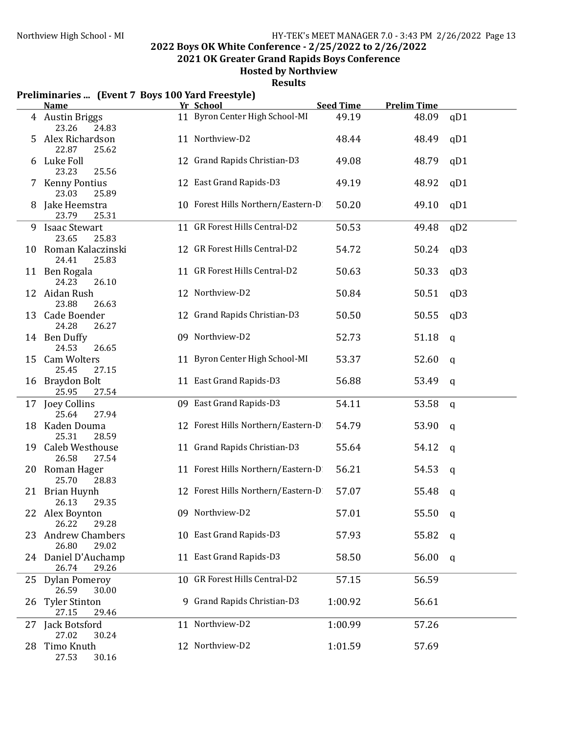2021 OK Greater Grand Rapids Boys Conference

# Hosted by Northview

|    | Preliminaries  (Event 7 Boys 100 Yard Freestyle)    |    |                                    |                  |                    |               |
|----|-----------------------------------------------------|----|------------------------------------|------------------|--------------------|---------------|
|    | <b>Name</b>                                         |    | Yr School                          | <b>Seed Time</b> | <b>Prelim Time</b> |               |
|    | 4 Austin Briggs<br>23.26<br>24.83                   |    | 11 Byron Center High School-MI     | 49.19            | 48.09              | qD1           |
|    | Alex Richardson<br>22.87<br>25.62                   |    | 11 Northview-D2                    | 48.44            | 48.49              | qD1           |
|    | 6 Luke Foll<br>23.23<br>25.56                       |    | 12 Grand Rapids Christian-D3       | 49.08            | 48.79              | qD1           |
|    | <b>Kenny Pontius</b>                                |    | 12 East Grand Rapids-D3            | 49.19            | 48.92              | qD1           |
|    | 23.03<br>25.89<br>8 Jake Heemstra<br>23.79<br>25.31 |    | 10 Forest Hills Northern/Eastern-D | 50.20            | 49.10              | qD1           |
| 9  | <b>Isaac Stewart</b><br>23.65<br>25.83              |    | 11 GR Forest Hills Central-D2      | 50.53            | 49.48              | qD2           |
| 10 | Roman Kalaczinski<br>24.41<br>25.83                 |    | 12 GR Forest Hills Central-D2      | 54.72            | 50.24              | qD3           |
|    | 11 Ben Rogala<br>24.23<br>26.10                     |    | 11 GR Forest Hills Central-D2      | 50.63            | 50.33              | qD3           |
|    | 12 Aidan Rush<br>23.88<br>26.63                     |    | 12 Northview-D2                    | 50.84            | 50.51              | qD3           |
| 13 | Cade Boender<br>24.28<br>26.27                      |    | 12 Grand Rapids Christian-D3       | 50.50            | 50.55              | qD3           |
|    | 14 Ben Duffy                                        |    | 09 Northview-D2                    | 52.73            | 51.18              | q             |
| 15 | 24.53<br>26.65<br><b>Cam Wolters</b>                |    | 11 Byron Center High School-MI     | 53.37            | 52.60              | $\mathbf q$   |
|    | 25.45<br>27.15<br>16 Braydon Bolt<br>25.95<br>27.54 |    | 11 East Grand Rapids-D3            | 56.88            | 53.49              | $\mathfrak q$ |
| 17 | Joey Collins<br>25.64<br>27.94                      |    | 09 East Grand Rapids-D3            | 54.11            | 53.58              | $\mathbf q$   |
|    | 18 Kaden Douma<br>25.31<br>28.59                    |    | 12 Forest Hills Northern/Eastern-D | 54.79            | 53.90              | $\mathbf q$   |
| 19 | Caleb Westhouse<br>26.58<br>27.54                   |    | 11 Grand Rapids Christian-D3       | 55.64            | 54.12              | $\mathsf{q}$  |
|    | 20 Roman Hager<br>25.70<br>28.83                    |    | 11 Forest Hills Northern/Eastern-D | 56.21            | 54.53              | q             |
|    | 21 Brian Huynh<br>29.35<br>26.13                    |    | 12 Forest Hills Northern/Eastern-D | 57.07            | 55.48              | q             |
|    | 22 Alex Boynton<br>29.28<br>26.22                   |    | 09 Northview-D2                    | 57.01            | 55.50              | q             |
| 23 | <b>Andrew Chambers</b><br>26.80<br>29.02            |    | 10 East Grand Rapids-D3            | 57.93            | 55.82              | q             |
|    | 24 Daniel D'Auchamp<br>26.74<br>29.26               |    | 11 East Grand Rapids-D3            | 58.50            | 56.00              | $\mathbf q$   |
|    | 25 Dylan Pomeroy                                    |    | 10 GR Forest Hills Central-D2      | 57.15            | 56.59              |               |
|    | 26.59<br>30.00<br>26 Tyler Stinton                  | 9. | Grand Rapids Christian-D3          | 1:00.92          | 56.61              |               |
| 27 | 27.15<br>29.46<br>Jack Botsford                     |    | 11 Northview-D2                    | 1:00.99          | 57.26              |               |
|    | 27.02<br>30.24                                      |    |                                    |                  |                    |               |
|    | 28 Timo Knuth<br>27.53<br>30.16                     |    | 12 Northview-D2                    | 1:01.59          | 57.69              |               |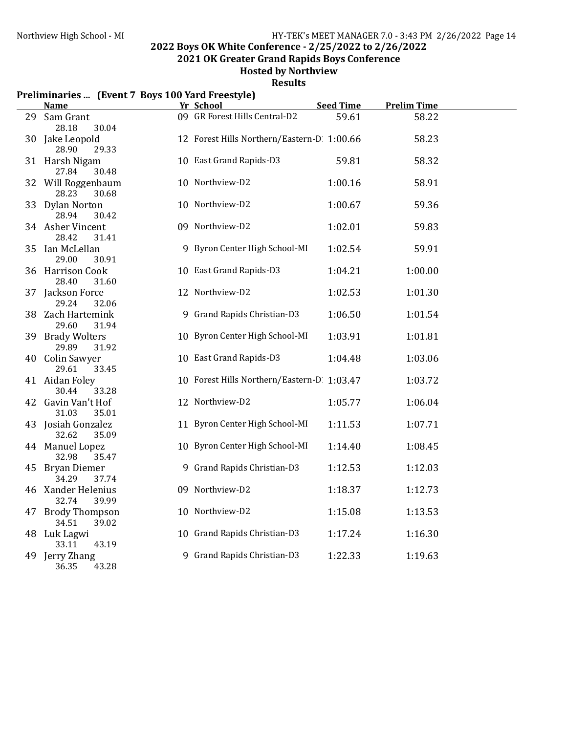2021 OK Greater Grand Rapids Boys Conference

# Hosted by Northview

|    | Preliminaries  (Event 7 Boys 100 Yard Freestyle)<br><b>Name</b> |                                            | <b>Seed Time</b> | <b>Prelim Time</b> |  |
|----|-----------------------------------------------------------------|--------------------------------------------|------------------|--------------------|--|
|    | 29 Sam Grant                                                    | Yr School<br>09 GR Forest Hills Central-D2 | 59.61            | 58.22              |  |
|    | 28.18<br>30.04                                                  |                                            |                  |                    |  |
|    | 30 Jake Leopold<br>28.90<br>29.33                               | 12 Forest Hills Northern/Eastern-D 1:00.66 |                  | 58.23              |  |
|    | 31 Harsh Nigam<br>27.84<br>30.48                                | 10 East Grand Rapids-D3                    | 59.81            | 58.32              |  |
|    | 32 Will Roggenbaum<br>28.23<br>30.68                            | 10 Northview-D2                            | 1:00.16          | 58.91              |  |
|    | 33 Dylan Norton<br>28.94<br>30.42                               | 10 Northview-D2                            | 1:00.67          | 59.36              |  |
|    | 34 Asher Vincent<br>28.42<br>31.41                              | 09 Northview-D2                            | 1:02.01          | 59.83              |  |
|    | 35 Ian McLellan<br>29.00<br>30.91                               | 9 Byron Center High School-MI              | 1:02.54          | 59.91              |  |
|    | 36 Harrison Cook<br>28.40<br>31.60                              | 10 East Grand Rapids-D3                    | 1:04.21          | 1:00.00            |  |
|    | 37 Jackson Force<br>29.24<br>32.06                              | 12 Northview-D2                            | 1:02.53          | 1:01.30            |  |
|    | 38 Zach Hartemink<br>29.60<br>31.94                             | 9 Grand Rapids Christian-D3                | 1:06.50          | 1:01.54            |  |
|    | 39 Brady Wolters<br>29.89<br>31.92                              | 10 Byron Center High School-MI             | 1:03.91          | 1:01.81            |  |
|    | 40 Colin Sawyer<br>29.61<br>33.45                               | 10 East Grand Rapids-D3                    | 1:04.48          | 1:03.06            |  |
|    | 41 Aidan Foley<br>30.44<br>33.28                                | 10 Forest Hills Northern/Eastern-D 1:03.47 |                  | 1:03.72            |  |
|    | 42 Gavin Van't Hof<br>31.03<br>35.01                            | 12 Northview-D2                            | 1:05.77          | 1:06.04            |  |
|    | 43 Josiah Gonzalez<br>32.62<br>35.09                            | 11 Byron Center High School-MI             | 1:11.53          | 1:07.71            |  |
|    | 44 Manuel Lopez<br>32.98<br>35.47                               | 10 Byron Center High School-MI             | 1:14.40          | 1:08.45            |  |
|    | 45 Bryan Diemer<br>34.29<br>37.74                               | 9 Grand Rapids Christian-D3                | 1:12.53          | 1:12.03            |  |
|    | 46 Xander Helenius<br>32.74<br>39.99                            | 09 Northview-D2                            | 1:18.37          | 1:12.73            |  |
| 47 | <b>Brody Thompson</b><br>34.51<br>39.02                         | 10 Northview-D2                            | 1:15.08          | 1:13.53            |  |
|    | 48 Luk Lagwi<br>33.11<br>43.19                                  | 10 Grand Rapids Christian-D3               | 1:17.24          | 1:16.30            |  |
| 49 | Jerry Zhang<br>36.35<br>43.28                                   | 9 Grand Rapids Christian-D3                | 1:22.33          | 1:19.63            |  |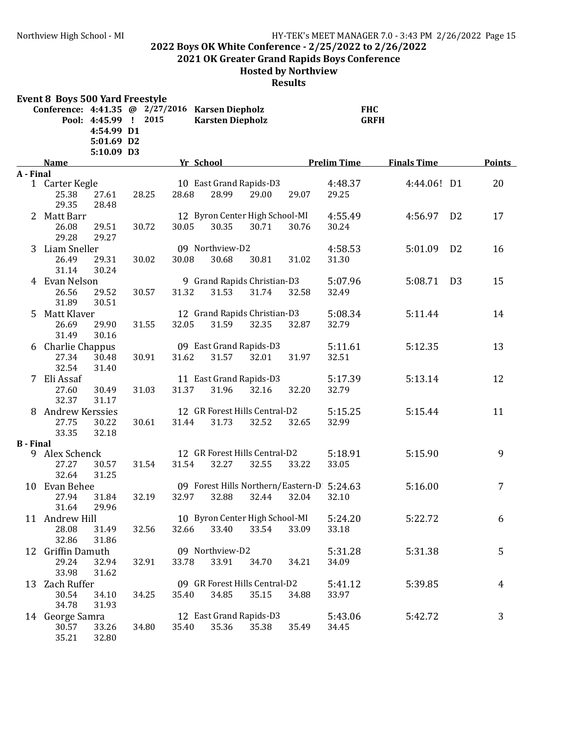2021 OK Greater Grand Rapids Boys Conference

#### Hosted by Northview

|                  | <b>Event 8 Boys 500 Yard Freestyle</b>   |                                                           |       |       |                                                                            |       |       |                           |                    |                |                |
|------------------|------------------------------------------|-----------------------------------------------------------|-------|-------|----------------------------------------------------------------------------|-------|-------|---------------------------|--------------------|----------------|----------------|
|                  |                                          | Pool: 4:45.99 !<br>4:54.99 D1<br>5:01.69 D2<br>5:10.09 D3 | 2015  |       | Conference: 4:41.35 @ 2/27/2016 Karsen Diepholz<br><b>Karsten Diepholz</b> |       |       | <b>FHC</b><br><b>GRFH</b> |                    |                |                |
|                  | <b>Name</b>                              |                                                           |       |       | Yr School                                                                  |       |       | <b>Prelim Time</b>        | <b>Finals Time</b> |                | <b>Points</b>  |
| A - Final        |                                          |                                                           |       |       |                                                                            |       |       |                           |                    |                |                |
|                  | 1 Carter Kegle<br>25.38<br>29.35         | 27.61<br>28.48                                            | 28.25 | 28.68 | 10 East Grand Rapids-D3<br>28.99                                           | 29.00 | 29.07 | 4:48.37<br>29.25          | 4:44.06! D1        |                | 20             |
|                  | 2 Matt Barr<br>26.08<br>29.28            | 29.51<br>29.27                                            | 30.72 | 30.05 | 12 Byron Center High School-MI<br>30.35                                    | 30.71 | 30.76 | 4:55.49<br>30.24          | 4:56.97            | D <sub>2</sub> | 17             |
| 3                | Liam Sneller<br>26.49<br>31.14           | 29.31<br>30.24                                            | 30.02 | 30.08 | 09 Northview-D2<br>30.68                                                   | 30.81 | 31.02 | 4:58.53<br>31.30          | 5:01.09            | D <sub>2</sub> | 16             |
| 4                | Evan Nelson<br>26.56<br>31.89            | 29.52<br>30.51                                            | 30.57 | 31.32 | 9 Grand Rapids Christian-D3<br>31.53                                       | 31.74 | 32.58 | 5:07.96<br>32.49          | 5:08.71            | D <sub>3</sub> | 15             |
| 5                | Matt Klaver<br>26.69<br>31.49            | 29.90<br>30.16                                            | 31.55 | 32.05 | 12 Grand Rapids Christian-D3<br>31.59                                      | 32.35 | 32.87 | 5:08.34<br>32.79          | 5:11.44            |                | 14             |
|                  | 6 Charlie Chappus<br>27.34<br>32.54      | 30.48<br>31.40                                            | 30.91 | 31.62 | 09 East Grand Rapids-D3<br>31.57                                           | 32.01 | 31.97 | 5:11.61<br>32.51          | 5:12.35            |                | 13             |
|                  | 7 Eli Assaf<br>27.60<br>32.37            | 30.49<br>31.17                                            | 31.03 | 31.37 | 11 East Grand Rapids-D3<br>31.96                                           | 32.16 | 32.20 | 5:17.39<br>32.79          | 5:13.14            |                | 12             |
| 8.               | <b>Andrew Kerssies</b><br>27.75<br>33.35 | 30.22<br>32.18                                            | 30.61 | 31.44 | 12 GR Forest Hills Central-D2<br>31.73                                     | 32.52 | 32.65 | 5:15.25<br>32.99          | 5:15.44            |                | 11             |
| <b>B</b> - Final |                                          |                                                           |       |       |                                                                            |       |       |                           |                    |                |                |
| 9                | Alex Schenck<br>27.27<br>32.64           | 30.57<br>31.25                                            | 31.54 | 31.54 | 12 GR Forest Hills Central-D2<br>32.27                                     | 32.55 | 33.22 | 5:18.91<br>33.05          | 5:15.90            |                | 9              |
| 10               | Evan Behee<br>27.94<br>31.64             | 31.84<br>29.96                                            | 32.19 | 32.97 | 09 Forest Hills Northern/Eastern-D<br>32.88                                | 32.44 | 32.04 | 5:24.63<br>32.10          | 5:16.00            |                | $\overline{7}$ |
|                  | 11 Andrew Hill<br>28.08<br>32.86         | 31.49<br>31.86                                            | 32.56 | 32.66 | 10 Byron Center High School-MI<br>33.40                                    | 33.54 | 33.09 | 5:24.20<br>33.18          | 5:22.72            |                | 6              |
|                  | 12 Griffin Damuth<br>29.24<br>33.98      | 32.94<br>31.62                                            | 32.91 | 33.78 | 09 Northview-D2<br>33.91                                                   | 34.70 | 34.21 | 5:31.28<br>34.09          | 5:31.38            |                | 5              |
|                  | 13 Zach Ruffer<br>30.54<br>34.78         | 34.10<br>31.93                                            | 34.25 | 35.40 | 09 GR Forest Hills Central-D2<br>34.85                                     | 35.15 | 34.88 | 5:41.12<br>33.97          | 5:39.85            |                | $\overline{4}$ |
|                  | 14 George Samra<br>30.57<br>35.21        | 33.26<br>32.80                                            | 34.80 | 35.40 | 12 East Grand Rapids-D3<br>35.36                                           | 35.38 | 35.49 | 5:43.06<br>34.45          | 5:42.72            |                | 3              |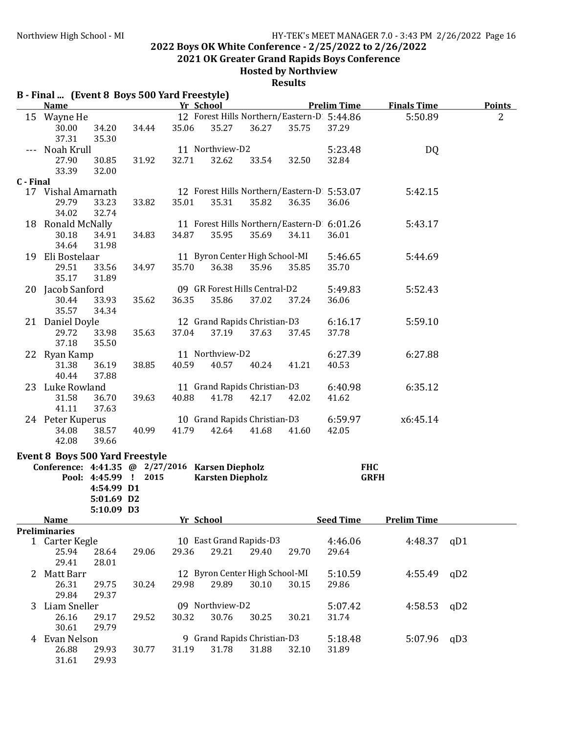2021 OK Greater Grand Rapids Boys Conference

#### Hosted by Northview

|           | B - Final  (Event 8 Boys 500 Yard Freestyle)<br><b>Name</b>                               |                                        |                      | Yr School |                                         |       |                                                     | <b>Prelim Time</b> | <b>Finals Time</b> |     | <b>Points</b>  |
|-----------|-------------------------------------------------------------------------------------------|----------------------------------------|----------------------|-----------|-----------------------------------------|-------|-----------------------------------------------------|--------------------|--------------------|-----|----------------|
|           | 15 Wayne He                                                                               |                                        |                      |           |                                         |       | 12 Forest Hills Northern/Eastern-D 5:44.86          |                    | 5:50.89            |     | $\overline{2}$ |
|           | 30.00<br>37.31                                                                            | 34.20<br>35.30                         | 34.44                | 35.06     | 35.27                                   | 36.27 | 35.75                                               | 37.29              |                    |     |                |
|           | Noah Krull<br>27.90<br>33.39                                                              | 30.85<br>32.00                         | 31.92                | 32.71     | 11 Northview-D2<br>32.62                | 33.54 | 32.50                                               | 5:23.48<br>32.84   | DQ                 |     |                |
| C - Final |                                                                                           |                                        |                      |           |                                         |       |                                                     |                    |                    |     |                |
|           | 17 Vishal Amarnath<br>29.79<br>34.02                                                      | 33.23<br>32.74                         | 33.82                | 35.01     | 35.31                                   | 35.82 | 12 Forest Hills Northern/Eastern-D 5:53.07<br>36.35 | 36.06              | 5:42.15            |     |                |
|           | 18 Ronald McNally<br>30.18<br>34.64                                                       | 34.91<br>31.98                         | 34.83                | 34.87     | 35.95                                   | 35.69 | 11 Forest Hills Northern/Eastern-D 6:01.26<br>34.11 | 36.01              | 5:43.17            |     |                |
|           | 19 Eli Bostelaar<br>29.51                                                                 | 33.56                                  | 34.97                | 35.70     | 11 Byron Center High School-MI<br>36.38 | 35.96 | 35.85                                               | 5:46.65<br>35.70   | 5:44.69            |     |                |
|           | 35.17<br>20 Jacob Sanford<br>30.44<br>35.57                                               | 31.89<br>33.93<br>34.34                | 35.62                | 36.35     | 09 GR Forest Hills Central-D2<br>35.86  | 37.02 | 37.24                                               | 5:49.83<br>36.06   | 5:52.43            |     |                |
|           | 21 Daniel Doyle<br>29.72<br>37.18                                                         | 33.98<br>35.50                         | 35.63                | 37.04     | 12 Grand Rapids Christian-D3<br>37.19   | 37.63 | 37.45                                               | 6:16.17<br>37.78   | 5:59.10            |     |                |
|           | 22 Ryan Kamp<br>31.38<br>40.44                                                            | 36.19<br>37.88                         | 38.85                | 40.59     | 11 Northview-D2<br>40.57                | 40.24 | 41.21                                               | 6:27.39<br>40.53   | 6:27.88            |     |                |
|           | 23 Luke Rowland<br>31.58<br>41.11                                                         | 36.70<br>37.63                         | 39.63                | 40.88     | 11 Grand Rapids Christian-D3<br>41.78   | 42.17 | 42.02                                               | 6:40.98<br>41.62   | 6:35.12            |     |                |
|           | 24 Peter Kuperus<br>34.08<br>42.08                                                        | 38.57<br>39.66                         | 40.99                | 41.79     | 10 Grand Rapids Christian-D3<br>42.64   | 41.68 | 41.60                                               | 6:59.97<br>42.05   | x6:45.14           |     |                |
|           | <b>Event 8 Boys 500 Yard Freestyle</b><br>Conference: 4:41.35 @ 2/27/2016 Karsen Diepholz |                                        |                      |           |                                         |       |                                                     | <b>FHC</b>         |                    |     |                |
|           |                                                                                           | 4:54.99 D1<br>5:01.69 D2<br>5:10.09 D3 | Pool: 4:45.99 ! 2015 |           | <b>Karsten Diepholz</b>                 |       |                                                     |                    | <b>GRFH</b>        |     |                |
|           | <b>Name</b>                                                                               |                                        |                      | Yr School |                                         |       |                                                     | <b>Seed Time</b>   | <b>Prelim Time</b> |     |                |
|           | <b>Preliminaries</b>                                                                      |                                        |                      |           |                                         |       |                                                     |                    |                    |     |                |
|           | 1 Carter Kegle<br>25.94<br>29.41                                                          | 28.64<br>28.01                         | 29.06                | 29.36     | 10 East Grand Rapids-D3<br>29.21        | 29.40 | 29.70                                               | 4:46.06<br>29.64   | 4:48.37            | qD1 |                |
| 2         | Matt Barr<br>26.31<br>29.84                                                               | 29.75<br>29.37                         | 30.24                | 29.98     | 12 Byron Center High School-MI<br>29.89 | 30.10 | 30.15                                               | 5:10.59<br>29.86   | 4:55.49            | qD2 |                |
| 3         | Liam Sneller<br>26.16<br>30.61                                                            | 29.17<br>29.79                         | 29.52                | 30.32     | 09 Northview-D2<br>30.76                | 30.25 | 30.21                                               | 5:07.42<br>31.74   | 4:58.53            | qD2 |                |
|           | 4 Evan Nelson<br>26.88<br>31.61                                                           | 29.93<br>29.93                         | 30.77                | 31.19     | 9 Grand Rapids Christian-D3<br>31.78    | 31.88 | 32.10                                               | 5:18.48<br>31.89   | 5:07.96            | qD3 |                |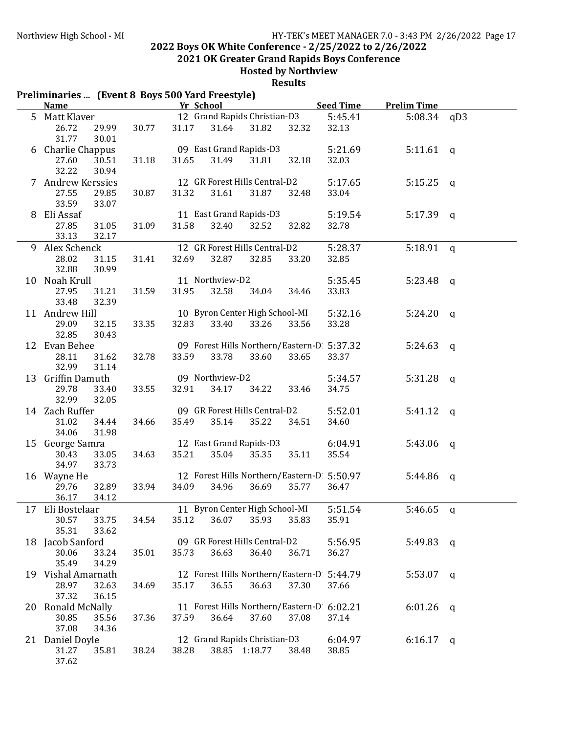2021 OK Greater Grand Rapids Boys Conference

#### Hosted by Northview **Results**

|    | <b>Name</b>                                            |       | Preliminaries  (Event 8 Boys 500 Yard Freestyle)<br>Yr School                           | <b>Seed Time</b><br><b>Prelim Time</b>      |  |
|----|--------------------------------------------------------|-------|-----------------------------------------------------------------------------------------|---------------------------------------------|--|
|    | 5 Matt Klaver                                          |       | 12 Grand Rapids Christian-D3                                                            | 5:08.34 qD3<br>5:45.41                      |  |
|    | 26.72<br>29.99<br>31.77<br>30.01                       | 30.77 | 31.17<br>31.64<br>31.82<br>32.32                                                        | 32.13                                       |  |
|    | 6 Charlie Chappus<br>27.60<br>30.51<br>32.22<br>30.94  | 31.18 | 09 East Grand Rapids-D3<br>31.65<br>31.49<br>31.81<br>32.18<br>32.03                    | 5:21.69<br>$5:11.61$ q                      |  |
|    | 7 Andrew Kerssies<br>27.55<br>29.85<br>33.59<br>33.07  | 30.87 | 12 GR Forest Hills Central-D2<br>31.32<br>31.61<br>31.87<br>32.48                       | 5:17.65<br>5:15.25<br>$\mathsf{q}$<br>33.04 |  |
| 8  | Eli Assaf<br>27.85<br>31.05<br>33.13<br>32.17          | 31.09 | 11 East Grand Rapids-D3<br>31.58<br>32.52<br>32.40<br>32.82                             | 5:19.54<br>5:17.39<br>q<br>32.78            |  |
|    | 9 Alex Schenck<br>28.02<br>31.15<br>32.88<br>30.99     | 31.41 | 12 GR Forest Hills Central-D2<br>32.69<br>32.87<br>33.20<br>32.85<br>32.85              | 5:28.37<br>5:18.91<br>$\mathsf{q}$          |  |
|    | 10 Noah Krull<br>27.95<br>31.21<br>33.48<br>32.39      | 31.59 | 11 Northview-D2<br>31.95<br>32.58<br>33.83<br>34.04<br>34.46                            | 5:35.45<br>5:23.48<br>q                     |  |
|    | 11 Andrew Hill<br>32.15<br>29.09<br>32.85<br>30.43     | 33.35 | 10 Byron Center High School-MI<br>32.83<br>33.40<br>33.26<br>33.56<br>33.28             | 5:32.16<br>5:24.20<br>$\alpha$              |  |
|    | 12 Evan Behee<br>31.62<br>28.11<br>32.99<br>31.14      | 32.78 | 09 Forest Hills Northern/Eastern-D 5:37.32<br>33.59<br>33.78<br>33.60<br>33.65<br>33.37 | 5:24.63<br>$\alpha$                         |  |
|    | 13 Griffin Damuth<br>29.78<br>33.40<br>32.99<br>32.05  | 33.55 | 09 Northview-D2<br>32.91<br>34.17<br>34.22<br>34.75<br>33.46                            | 5:31.28<br>5:34.57<br>$\mathbf{q}$          |  |
|    | 14 Zach Ruffer<br>31.02<br>34.44<br>34.06<br>31.98     | 34.66 | 09 GR Forest Hills Central-D2<br>35.49<br>35.14<br>35.22<br>34.60<br>34.51              | 5:52.01<br>5:41.12<br>$\mathbf{q}$          |  |
|    | 15 George Samra<br>33.05<br>30.43<br>34.97<br>33.73    | 34.63 | 12 East Grand Rapids-D3<br>35.21<br>35.04<br>35.35<br>35.11                             | 5:43.06<br>6:04.91<br>q<br>35.54            |  |
|    | 16 Wayne He<br>32.89<br>29.76<br>36.17<br>34.12        | 33.94 | 12 Forest Hills Northern/Eastern-D 5:50.97<br>34.09<br>34.96<br>35.77<br>36.69          | 5:44.86<br>q<br>36.47                       |  |
| 17 | Eli Bostelaar<br>30.57<br>33.75<br>35.31<br>33.62      | 34.54 | 11 Byron Center High School-MI<br>36.07<br>35.12<br>35.93<br>35.83<br>35.91             | 5:51.54<br>$5:46.65$ q                      |  |
|    | 18 Jacob Sanford<br>30.06<br>33.24<br>35.49<br>34.29   | 35.01 | 09 GR Forest Hills Central-D2<br>35.73<br>36.63<br>36.40<br>36.71<br>36.27              | 5:56.95<br>5:49.83<br>q                     |  |
|    | 19 Vishal Amarnath<br>28.97<br>32.63<br>37.32<br>36.15 | 34.69 | 12 Forest Hills Northern/Eastern-D<br>35.17<br>36.55<br>36.63<br>37.30<br>37.66         | 5:44.79<br>5:53.07<br>q                     |  |
| 20 | Ronald McNally<br>30.85<br>35.56<br>37.08<br>34.36     | 37.36 | 11 Forest Hills Northern/Eastern-D<br>37.59<br>36.64<br>37.60<br>37.08                  | 6:02.21<br>6:01.26<br>q<br>37.14            |  |
|    | 21 Daniel Doyle<br>31.27<br>35.81<br>37.62             | 38.24 | 12 Grand Rapids Christian-D3<br>38.28<br>38.85 1:18.77<br>38.48<br>38.85                | 6:04.97<br>6:16.17<br>q                     |  |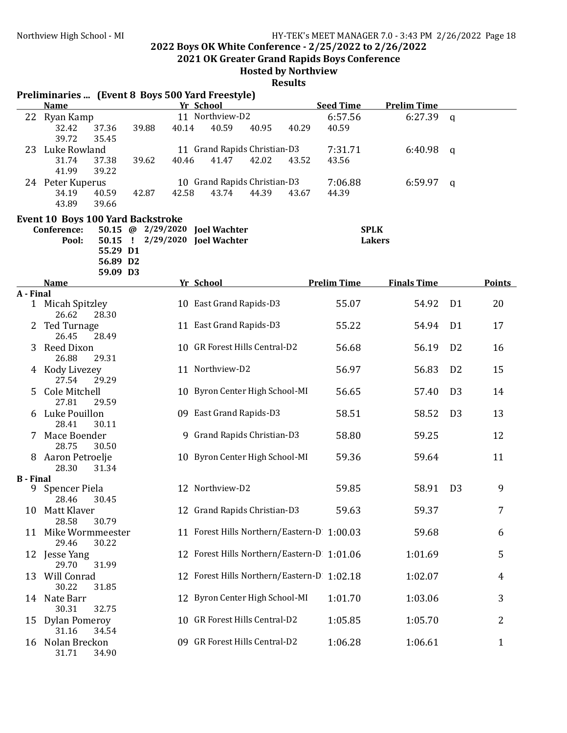2021 OK Greater Grand Rapids Boys Conference

#### Hosted by Northview

|                  | Preliminaries  (Event 8 Boys 500 Yard Freestyle)<br><b>Name</b>  |                                  |       |       | Yr School                                                        |       |       | <b>Seed Time</b>   | <b>Prelim Time</b>           |                |               |
|------------------|------------------------------------------------------------------|----------------------------------|-------|-------|------------------------------------------------------------------|-------|-------|--------------------|------------------------------|----------------|---------------|
|                  |                                                                  |                                  |       |       | 11 Northview-D2                                                  |       |       |                    |                              |                |               |
|                  | 22 Ryan Kamp<br>32.42<br>39.72                                   | 37.36<br>35.45                   | 39.88 | 40.14 | 40.59                                                            | 40.95 | 40.29 | 6:57.56<br>40.59   | 6:27.39                      | a              |               |
|                  | 23 Luke Rowland<br>31.74<br>41.99                                | 37.38<br>39.22                   | 39.62 | 40.46 | 11 Grand Rapids Christian-D3<br>41.47                            | 42.02 | 43.52 | 7:31.71<br>43.56   | 6:40.98                      | a              |               |
|                  | 24 Peter Kuperus<br>34.19<br>43.89                               | 40.59<br>39.66                   | 42.87 | 42.58 | 10 Grand Rapids Christian-D3<br>43.74                            | 44.39 | 43.67 | 7:06.88<br>44.39   | 6:59.97                      | q              |               |
|                  | <b>Event 10 Boys 100 Yard Backstroke</b><br>Conference:<br>Pool: | 55.29 D1<br>56.89 D2<br>59.09 D3 |       |       | 50.15 @ 2/29/2020 Joel Wachter<br>50.15 ! 2/29/2020 Joel Wachter |       |       |                    | <b>SPLK</b><br><b>Lakers</b> |                |               |
|                  | <b>Name</b>                                                      |                                  |       |       | Yr School                                                        |       |       | <b>Prelim Time</b> | <b>Finals Time</b>           |                | <b>Points</b> |
| A - Final        |                                                                  |                                  |       |       |                                                                  |       |       |                    |                              |                |               |
|                  | 1 Micah Spitzley<br>26.62                                        | 28.30                            |       |       | 10 East Grand Rapids-D3                                          |       |       | 55.07              | 54.92                        | D <sub>1</sub> | 20            |
|                  | <b>Ted Turnage</b><br>26.45                                      | 28.49                            |       |       | 11 East Grand Rapids-D3                                          |       |       | 55.22              | 54.94                        | D <sub>1</sub> | 17            |
|                  | Reed Dixon<br>26.88                                              | 29.31                            |       |       | 10 GR Forest Hills Central-D2                                    |       |       | 56.68              | 56.19                        | D <sub>2</sub> | 16            |
|                  | 4 Kody Livezey<br>27.54                                          | 29.29                            |       |       | 11 Northview-D2                                                  |       |       | 56.97              | 56.83                        | D <sub>2</sub> | 15            |
| 5.               | Cole Mitchell<br>27.81                                           | 29.59                            |       |       | 10 Byron Center High School-MI                                   |       |       | 56.65              | 57.40                        | D <sub>3</sub> | 14            |
|                  | Luke Pouillon<br>28.41                                           | 30.11                            |       |       | 09 East Grand Rapids-D3                                          |       |       | 58.51              | 58.52                        | D <sub>3</sub> | 13            |
|                  | 7 Mace Boender<br>28.75                                          | 30.50                            |       |       | 9 Grand Rapids Christian-D3                                      |       |       | 58.80              | 59.25                        |                | 12            |
|                  | 8 Aaron Petroelje<br>28.30                                       | 31.34                            |       |       | 10 Byron Center High School-MI                                   |       |       | 59.36              | 59.64                        |                | 11            |
| <b>B</b> - Final |                                                                  |                                  |       |       |                                                                  |       |       |                    |                              |                |               |
| 9                | Spencer Piela<br>28.46                                           | 30.45                            |       |       | 12 Northview-D2                                                  |       |       | 59.85              | 58.91                        | D <sub>3</sub> | 9             |
| 10               | Matt Klaver<br>28.58                                             | 30.79                            |       |       | 12 Grand Rapids Christian-D3                                     |       |       | 59.63              | 59.37                        |                | 7             |
| 11               | Mike Wormmeester<br>29.46                                        | 30.22                            |       |       | 11 Forest Hills Northern/Eastern-D 1:00.03                       |       |       |                    | 59.68                        |                | 6             |
|                  | 12 Jesse Yang<br>29.70                                           | 31.99                            |       |       | 12 Forest Hills Northern/Eastern-D 1:01.06                       |       |       |                    | 1:01.69                      |                | 5             |
| 13               | Will Conrad<br>30.22                                             | 31.85                            |       |       | 12 Forest Hills Northern/Eastern-D 1:02.18                       |       |       |                    | 1:02.07                      |                | 4             |
|                  | 14 Nate Barr<br>30.31                                            | 32.75                            |       | 12    | Byron Center High School-MI                                      |       |       | 1:01.70            | 1:03.06                      |                | 3             |
| 15               | Dylan Pomeroy<br>31.16                                           | 34.54                            |       | 10    | <b>GR Forest Hills Central-D2</b>                                |       |       | 1:05.85            | 1:05.70                      |                | 2             |
| 16               | Nolan Breckon<br>31.71                                           | 34.90                            |       |       | 09 GR Forest Hills Central-D2                                    |       |       | 1:06.28            | 1:06.61                      |                | $\mathbf{1}$  |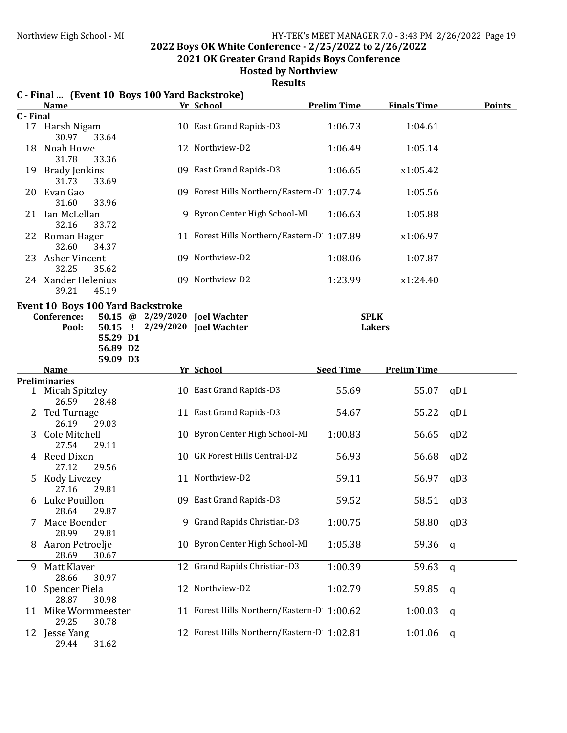2021 OK Greater Grand Rapids Boys Conference

#### Hosted by Northview

|           | <b>Name</b>                                                  |          | C - Final  (Event 10 Boys 100 Yard Backstroke) | Yr School                                  | <b>Prelim Time</b> | <b>Finals Time</b> | <b>Points</b> |  |  |  |  |  |
|-----------|--------------------------------------------------------------|----------|------------------------------------------------|--------------------------------------------|--------------------|--------------------|---------------|--|--|--|--|--|
|           |                                                              |          |                                                |                                            |                    |                    |               |  |  |  |  |  |
| C - Final | 17 Harsh Nigam<br>30.97                                      | 33.64    |                                                | 10 East Grand Rapids-D3                    | 1:06.73            | 1:04.61            |               |  |  |  |  |  |
| 18        | Noah Howe<br>31.78                                           | 33.36    |                                                | 12 Northview-D2                            | 1:06.49            | 1:05.14            |               |  |  |  |  |  |
|           | 19 Brady Jenkins<br>31.73                                    | 33.69    |                                                | 09 East Grand Rapids-D3                    | 1:06.65            | x1:05.42           |               |  |  |  |  |  |
| 20        | Evan Gao<br>31.60                                            | 33.96    |                                                | 09 Forest Hills Northern/Eastern-D 1:07.74 |                    | 1:05.56            |               |  |  |  |  |  |
|           | 21 Ian McLellan<br>32.16                                     | 33.72    |                                                | 9 Byron Center High School-MI              | 1:06.63            | 1:05.88            |               |  |  |  |  |  |
|           | 22 Roman Hager<br>32.60                                      | 34.37    |                                                | 11 Forest Hills Northern/Eastern-D 1:07.89 |                    | x1:06.97           |               |  |  |  |  |  |
|           | 23 Asher Vincent<br>32.25                                    | 35.62    |                                                | 09 Northview-D2                            | 1:08.06            | 1:07.87            |               |  |  |  |  |  |
|           | 24 Xander Helenius<br>39.21                                  | 45.19    |                                                | 09 Northview-D2                            | 1:23.99            | x1:24.40           |               |  |  |  |  |  |
|           | <b>Event 10 Boys 100 Yard Backstroke</b>                     |          |                                                |                                            |                    |                    |               |  |  |  |  |  |
|           | <b>SPLK</b><br>Conference:<br>50.15 @ 2/29/2020 Joel Wachter |          |                                                |                                            |                    |                    |               |  |  |  |  |  |
|           | Pool:                                                        |          | 50.15 ! 2/29/2020 Joel Wachter                 |                                            |                    | <b>Lakers</b>      |               |  |  |  |  |  |
|           |                                                              | 55.29 D1 |                                                |                                            |                    |                    |               |  |  |  |  |  |
|           |                                                              | 56.89 D2 |                                                |                                            |                    |                    |               |  |  |  |  |  |
|           |                                                              | 59.09 D3 |                                                |                                            |                    |                    |               |  |  |  |  |  |
|           | <b>Name</b>                                                  |          |                                                | Yr School                                  | <b>Seed Time</b>   | <b>Prelim Time</b> |               |  |  |  |  |  |
|           | <b>Preliminaries</b>                                         |          |                                                |                                            |                    |                    |               |  |  |  |  |  |
|           | 1 Micah Spitzley<br>26.59                                    | 28.48    |                                                | 10 East Grand Rapids-D3                    | 55.69              | 55.07              | qD1           |  |  |  |  |  |
| 2         | Ted Turnage<br>26.19                                         | 29.03    |                                                | 11 East Grand Rapids-D3                    | 54.67              | 55.22              | qD1           |  |  |  |  |  |
| 3         | Cole Mitchell<br>27.54                                       | 29.11    |                                                | 10 Byron Center High School-MI             | 1:00.83            | 56.65              | qD2           |  |  |  |  |  |
|           | 4 Reed Dixon<br>27.12                                        | 29.56    |                                                | 10 GR Forest Hills Central-D2              | 56.93              | 56.68              | qD2           |  |  |  |  |  |
|           | 5 Kody Livezey<br>27.16                                      | 29.81    |                                                | 11 Northview-D2                            | 59.11              | 56.97              | qD3           |  |  |  |  |  |
|           | 6 Luke Pouillon<br>28.64                                     | 29.87    |                                                | 09 East Grand Rapids-D3                    | 59.52              | 58.51 qD3          |               |  |  |  |  |  |
|           | Mace Boender<br>28.99                                        | 29.81    |                                                | 9 Grand Rapids Christian-D3                | 1:00.75            | 58.80              | qD3           |  |  |  |  |  |
| 8.        | Aaron Petroelje<br>28.69                                     | 30.67    |                                                | 10 Byron Center High School-MI             | 1:05.38            | 59.36              | q             |  |  |  |  |  |
| 9.        | Matt Klaver<br>28.66                                         | 30.97    |                                                | 12 Grand Rapids Christian-D3               | 1:00.39            | 59.63              | q             |  |  |  |  |  |
| 10.       | Spencer Piela<br>28.87                                       | 30.98    |                                                | 12 Northview-D2                            | 1:02.79            | 59.85              | q             |  |  |  |  |  |
| 11        | Mike Wormmeester<br>29.25                                    | 30.78    |                                                | 11 Forest Hills Northern/Eastern-D 1:00.62 |                    | 1:00.03            | q             |  |  |  |  |  |
| 12        | Jesse Yang<br>29.44                                          | 31.62    |                                                | 12 Forest Hills Northern/Eastern-D 1:02.81 |                    | 1:01.06            | q             |  |  |  |  |  |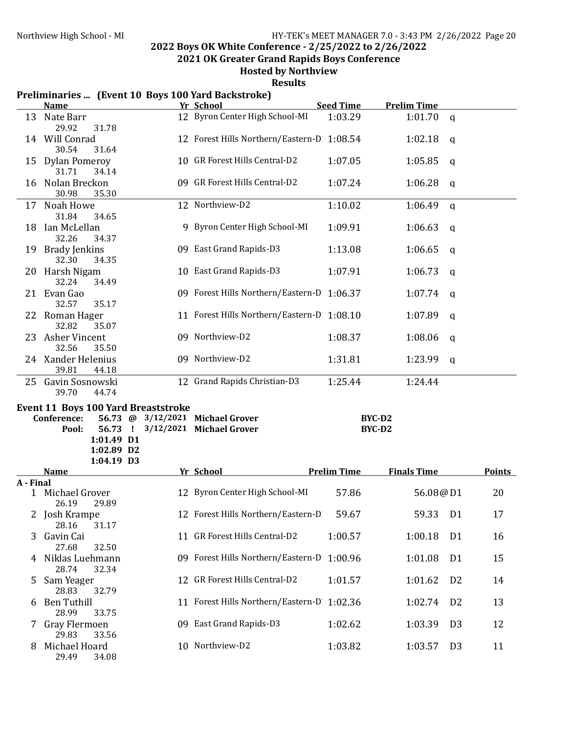2021 OK Greater Grand Rapids Boys Conference

#### Hosted by Northview

|           |                               |                          |                                            | Preliminaries  (Event 10 Boys 100 Yard Backstroke) |                    |                    |                |               |
|-----------|-------------------------------|--------------------------|--------------------------------------------|----------------------------------------------------|--------------------|--------------------|----------------|---------------|
|           | <b>Name</b>                   |                          |                                            | Yr School                                          | <b>Seed Time</b>   | <b>Prelim Time</b> |                |               |
| 13        | Nate Barr<br>29.92            | 31.78                    |                                            | 12 Byron Center High School-MI                     | 1:03.29            | 1:01.70            | $\mathbf{q}$   |               |
| 14        | Will Conrad<br>30.54          | 31.64                    |                                            | 12 Forest Hills Northern/Eastern-D                 | 1:08.54            | 1:02.18            | a              |               |
| 15        | <b>Dylan Pomeroy</b><br>31.71 | 34.14                    |                                            | 10 GR Forest Hills Central-D2                      | 1:07.05            | 1:05.85            | a              |               |
|           | 16 Nolan Breckon<br>30.98     | 35.30                    |                                            | 09 GR Forest Hills Central-D2                      | 1:07.24            | 1:06.28            | q              |               |
| 17        | Noah Howe<br>31.84            | 34.65                    |                                            | 12 Northview-D2                                    | 1:10.02            | 1:06.49            | $\mathbf q$    |               |
| 18        | Ian McLellan<br>32.26         | 34.37                    |                                            | 9 Byron Center High School-MI                      | 1:09.91            | 1:06.63            | a              |               |
| 19        | <b>Brady Jenkins</b><br>32.30 | 34.35                    |                                            | 09 East Grand Rapids-D3                            | 1:13.08            | 1:06.65            | a              |               |
| 20        | Harsh Nigam<br>32.24          | 34.49                    |                                            | 10 East Grand Rapids-D3                            | 1:07.91            | 1:06.73            | a              |               |
| 21        | Evan Gao<br>32.57             | 35.17                    |                                            | 09 Forest Hills Northern/Eastern-D 1:06.37         |                    | 1:07.74            | a              |               |
| 22        | Roman Hager<br>32.82          | 35.07                    |                                            | 11 Forest Hills Northern/Eastern-D 1:08.10         |                    | 1:07.89            | q              |               |
| 23        | <b>Asher Vincent</b><br>32.56 | 35.50                    |                                            | 09 Northview-D2                                    | 1:08.37            | 1:08.06            | q              |               |
|           | 24 Xander Helenius<br>39.81   | 44.18                    |                                            | 09 Northview-D2                                    | 1:31.81            | 1:23.99            | q              |               |
| 25        | Gavin Sosnowski<br>39.70      | 44.74                    |                                            | 12 Grand Rapids Christian-D3                       | 1:25.44            | 1:24.44            |                |               |
|           |                               |                          | <b>Event 11 Boys 100 Yard Breaststroke</b> |                                                    |                    |                    |                |               |
|           | Conference:                   |                          |                                            | 56.73 @ 3/12/2021 Michael Grover                   |                    | BYC-D2             |                |               |
|           | Pool:                         | 56.73                    | $\mathbf{I}$                               | 3/12/2021 Michael Grover                           |                    | BYC-D2             |                |               |
|           |                               | 1:01.49 D1               |                                            |                                                    |                    |                    |                |               |
|           |                               | 1:02.89 D2<br>1:04.19 D3 |                                            |                                                    |                    |                    |                |               |
|           | <b>Name</b>                   |                          |                                            | Yr School                                          | <b>Prelim Time</b> | <b>Finals Time</b> |                | <b>Points</b> |
| A - Final |                               |                          |                                            |                                                    |                    |                    |                |               |
| 1         | Michael Grover                | 26.19 29.89              |                                            | 12 Byron Center High School-MI                     | 57.86              | 56.08@D1           |                | 20            |
|           | 2 Josh Krampe<br>28.16        | 31.17                    |                                            | 12 Forest Hills Northern/Eastern-D                 | 59.67              | 59.33              | D <sub>1</sub> | 17            |
| 3         | Gavin Cai<br>27.68            | 32.50                    |                                            | 11 GR Forest Hills Central-D2                      | 1:00.57            | 1:00.18            | D <sub>1</sub> | 16            |
| 4         | Niklas Luehmann<br>28.74      | 32.34                    |                                            | 09 Forest Hills Northern/Eastern-D 1:00.96         |                    | 1:01.08            | D <sub>1</sub> | 15            |
| 5         | Sam Yeager<br>28.83           | 32.79                    |                                            | 12 GR Forest Hills Central-D2                      | 1:01.57            | 1:01.62            | D <sub>2</sub> | 14            |
|           | 6 Ben Tuthill<br>28.99        | 33.75                    |                                            | 11 Forest Hills Northern/Eastern-D 1:02.36         |                    | 1:02.74            | D <sub>2</sub> | 13            |
|           | 7 Gray Flermoen<br>29.83      | 33.56                    |                                            | 09 East Grand Rapids-D3                            | 1:02.62            | 1:03.39            | D <sub>3</sub> | 12            |
| 8         | Michael Hoard<br>29.49        | 34.08                    |                                            | 10 Northview-D2                                    | 1:03.82            | 1:03.57            | D <sub>3</sub> | 11            |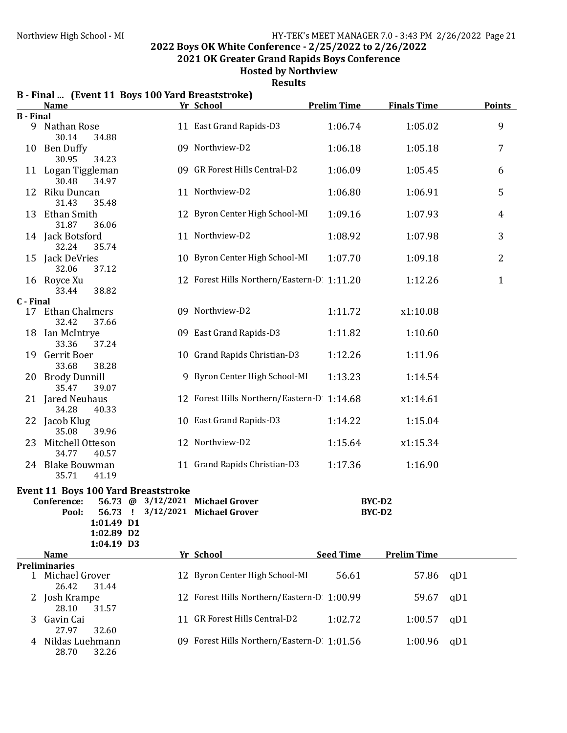2021 OK Greater Grand Rapids Boys Conference

Hosted by Northview

|                  | B - Final  (Event 11 Boys 100 Yard Breaststroke)                                                                                                                                           |                |  |                                            |                    |                    |                  |  |  |  |  |
|------------------|--------------------------------------------------------------------------------------------------------------------------------------------------------------------------------------------|----------------|--|--------------------------------------------|--------------------|--------------------|------------------|--|--|--|--|
|                  | <b>Name</b>                                                                                                                                                                                |                |  | Yr School                                  | <b>Prelim Time</b> | <b>Finals Time</b> | <b>Points</b>    |  |  |  |  |
| <b>B</b> - Final | 9 Nathan Rose                                                                                                                                                                              |                |  | 11 East Grand Rapids-D3                    | 1:06.74            | 1:05.02            | 9                |  |  |  |  |
|                  | 30.14<br>10 Ben Duffy                                                                                                                                                                      | 34.88          |  | 09 Northview-D2                            | 1:06.18            | 1:05.18            | 7                |  |  |  |  |
|                  | 30.95<br>11 Logan Tiggleman<br>30.48                                                                                                                                                       | 34.23<br>34.97 |  | 09 GR Forest Hills Central-D2              | 1:06.09            | 1:05.45            | 6                |  |  |  |  |
| 12               | Riku Duncan<br>31.43                                                                                                                                                                       | 35.48          |  | 11 Northview-D2                            | 1:06.80            | 1:06.91            | 5                |  |  |  |  |
|                  | 13 Ethan Smith<br>31.87                                                                                                                                                                    | 36.06          |  | 12 Byron Center High School-MI             | 1:09.16            | 1:07.93            | $\overline{4}$   |  |  |  |  |
|                  | 14 Jack Botsford<br>32.24                                                                                                                                                                  | 35.74          |  | 11 Northview-D2                            | 1:08.92            | 1:07.98            | 3                |  |  |  |  |
|                  | 15 Jack DeVries<br>32.06                                                                                                                                                                   | 37.12          |  | 10 Byron Center High School-MI             | 1:07.70            | 1:09.18            | $\boldsymbol{2}$ |  |  |  |  |
|                  | 16 Royce Xu<br>33.44                                                                                                                                                                       | 38.82          |  | 12 Forest Hills Northern/Eastern-D 1:11.20 |                    | 1:12.26            | $\mathbf{1}$     |  |  |  |  |
| C - Final        |                                                                                                                                                                                            |                |  |                                            |                    |                    |                  |  |  |  |  |
|                  | 17 Ethan Chalmers<br>32.42                                                                                                                                                                 | 37.66          |  | 09 Northview-D2                            | 1:11.72            | x1:10.08           |                  |  |  |  |  |
|                  | 18 Ian McIntrye<br>33.36                                                                                                                                                                   | 37.24          |  | 09 East Grand Rapids-D3                    | 1:11.82            | 1:10.60            |                  |  |  |  |  |
|                  | 19 Gerrit Boer<br>33.68                                                                                                                                                                    | 38.28          |  | 10 Grand Rapids Christian-D3               | 1:12.26            | 1:11.96            |                  |  |  |  |  |
|                  | 20 Brody Dunnill<br>35.47                                                                                                                                                                  | 39.07          |  | 9 Byron Center High School-MI              | 1:13.23            | 1:14.54            |                  |  |  |  |  |
|                  | 21 Jared Neuhaus<br>34.28                                                                                                                                                                  | 40.33          |  | 12 Forest Hills Northern/Eastern-D         | 1:14.68            | x1:14.61           |                  |  |  |  |  |
|                  | 22 Jacob Klug<br>35.08                                                                                                                                                                     | 39.96          |  | 10 East Grand Rapids-D3                    | 1:14.22            | 1:15.04            |                  |  |  |  |  |
|                  | 23 Mitchell Otteson<br>34.77                                                                                                                                                               | 40.57          |  | 12 Northview-D2                            | 1:15.64            | x1:15.34           |                  |  |  |  |  |
|                  | 24 Blake Bouwman<br>35.71                                                                                                                                                                  | 41.19          |  | 11 Grand Rapids Christian-D3               | 1:17.36            | 1:16.90            |                  |  |  |  |  |
|                  | <b>Event 11 Boys 100 Yard Breaststroke</b><br>Conference: 56.73 @ 3/12/2021 Michael Grover<br>BYC-D2<br>3/12/2021 Michael Grover<br>BYC-D2<br>56.73 !<br>Pool:<br>1:01.49 D1<br>1:02.89 D2 |                |  |                                            |                    |                    |                  |  |  |  |  |
|                  | <b>Name</b>                                                                                                                                                                                | 1:04.19 D3     |  | Yr School                                  | <b>Seed Time</b>   | <b>Prelim Time</b> |                  |  |  |  |  |
|                  | <b>Preliminaries</b>                                                                                                                                                                       |                |  |                                            |                    |                    |                  |  |  |  |  |
| 1                | Michael Grover<br>26.42                                                                                                                                                                    | 31.44          |  | 12 Byron Center High School-MI             | 56.61              | 57.86              | qD1              |  |  |  |  |
|                  | 2 Josh Krampe<br>28.10                                                                                                                                                                     | 31.57          |  | 12 Forest Hills Northern/Eastern-D         | 1:00.99            | 59.67              | qD1              |  |  |  |  |
| 3                | Gavin Cai<br>27.97                                                                                                                                                                         | 32.60          |  | 11 GR Forest Hills Central-D2              | 1:02.72            | 1:00.57            | qD1              |  |  |  |  |
| 4                | Niklas Luehmann<br>28.70                                                                                                                                                                   | 32.26          |  | 09 Forest Hills Northern/Eastern-D 1:01.56 |                    | 1:00.96            | qD1              |  |  |  |  |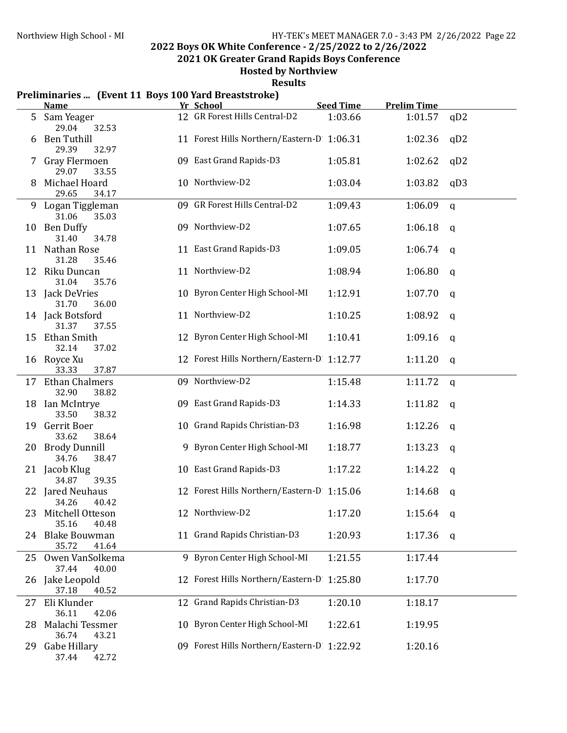2021 OK Greater Grand Rapids Boys Conference

Hosted by Northview

|    | <b>Name</b>                          |                | Preliminaries  (Event 11 Boys 100 Yard Breaststroke)<br>Yr School | <b>Seed Time</b> | <b>Prelim Time</b> |              |
|----|--------------------------------------|----------------|-------------------------------------------------------------------|------------------|--------------------|--------------|
|    | 5 Sam Yeager                         |                | 12 GR Forest Hills Central-D2                                     | 1:03.66          | 1:01.57            | qD2          |
| 6  | 29.04<br><b>Ben Tuthill</b><br>29.39 | 32.53<br>32.97 | 11 Forest Hills Northern/Eastern-D 1:06.31                        |                  | 1:02.36            | qD2          |
|    | 7 Gray Flermoen<br>29.07             | 33.55          | 09 East Grand Rapids-D3                                           | 1:05.81          | 1:02.62            | qD2          |
| 8  | Michael Hoard<br>29.65               | 34.17          | 10 Northview-D2                                                   | 1:03.04          | 1:03.82            | qD3          |
|    | 9 Logan Tiggleman<br>31.06           | 35.03          | 09 GR Forest Hills Central-D2                                     | 1:09.43          | 1:06.09            | $\mathbf q$  |
| 10 | <b>Ben Duffy</b><br>31.40            | 34.78          | 09 Northview-D2                                                   | 1:07.65          | 1:06.18            | $\mathsf{q}$ |
|    | 11 Nathan Rose<br>31.28              | 35.46          | 11 East Grand Rapids-D3                                           | 1:09.05          | 1:06.74            | q            |
| 12 | Riku Duncan<br>31.04                 | 35.76          | 11 Northview-D2                                                   | 1:08.94          | 1:06.80            | $\mathbf q$  |
|    | 13 Jack DeVries<br>31.70             | 36.00          | 10 Byron Center High School-MI                                    | 1:12.91          | 1:07.70            | $\mathsf{q}$ |
|    | 14 Jack Botsford<br>31.37            | 37.55          | 11 Northview-D2                                                   | 1:10.25          | 1:08.92            | $\mathsf{q}$ |
| 15 | Ethan Smith<br>32.14                 | 37.02          | 12 Byron Center High School-MI                                    | 1:10.41          | 1:09.16            | $\mathbf q$  |
|    | 16 Royce Xu<br>33.33                 | 37.87          | 12 Forest Hills Northern/Eastern-D 1:12.77                        |                  | 1:11.20            | $\mathbf q$  |
| 17 | <b>Ethan Chalmers</b><br>32.90       | 38.82          | 09 Northview-D2                                                   | 1:15.48          | 1:11.72            | $\mathbf q$  |
| 18 | Ian McIntrye<br>33.50                | 38.32          | 09 East Grand Rapids-D3                                           | 1:14.33          | 1:11.82            | $\mathbf q$  |
| 19 | Gerrit Boer<br>33.62                 | 38.64          | 10 Grand Rapids Christian-D3                                      | 1:16.98          | 1:12.26            | q            |
| 20 | <b>Brody Dunnill</b><br>34.76        | 38.47          | 9 Byron Center High School-MI                                     | 1:18.77          | 1:13.23            | q            |
|    | 21 Jacob Klug<br>34.87               | 39.35          | 10 East Grand Rapids-D3                                           | 1:17.22          | 1:14.22            | q            |
|    | 22 Jared Neuhaus<br>34.26 40.42      |                | 12 Forest Hills Northern/Eastern-D 1:15.06                        |                  | 1:14.68            | q            |
| 23 | Mitchell Otteson<br>35.16            | 40.48          | 12 Northview-D2                                                   | 1:17.20          | 1:15.64            | - q          |
|    | 24 Blake Bouwman<br>35.72            | 41.64          | 11 Grand Rapids Christian-D3                                      | 1:20.93          | 1:17.36            | q            |
| 25 | Owen VanSolkema<br>37.44             | 40.00          | 9 Byron Center High School-MI                                     | 1:21.55          | 1:17.44            |              |
|    | 26 Jake Leopold<br>37.18             | 40.52          | 12 Forest Hills Northern/Eastern-D                                | 1:25.80          | 1:17.70            |              |
| 27 | Eli Klunder<br>36.11                 | 42.06          | 12 Grand Rapids Christian-D3                                      | 1:20.10          | 1:18.17            |              |
| 28 | Malachi Tessmer<br>36.74             | 43.21          | 10 Byron Center High School-MI                                    | 1:22.61          | 1:19.95            |              |
|    | 29 Gabe Hillary<br>37.44             | 42.72          | 09 Forest Hills Northern/Eastern-D 1:22.92                        |                  | 1:20.16            |              |